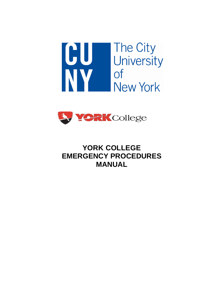



# **YORK COLLEGE EMERGENCY PROCEDURES MANUAL**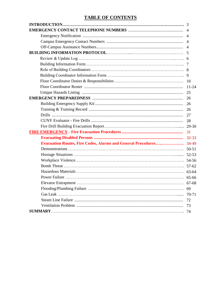# **TABLE OF CONTENTS**

|                                                                     | -3        |
|---------------------------------------------------------------------|-----------|
|                                                                     |           |
|                                                                     |           |
|                                                                     |           |
|                                                                     |           |
|                                                                     |           |
|                                                                     |           |
|                                                                     |           |
|                                                                     |           |
|                                                                     |           |
|                                                                     | - 10      |
|                                                                     | $11 - 24$ |
|                                                                     | 25        |
|                                                                     | 26        |
|                                                                     | 26        |
|                                                                     | 26        |
|                                                                     | 27        |
|                                                                     | 28        |
|                                                                     |           |
|                                                                     | 31        |
|                                                                     |           |
| <b>Evacuation Routes, Fire Codes, Alarms and General Procedures</b> | 34-49     |
|                                                                     |           |
|                                                                     |           |
|                                                                     |           |
|                                                                     |           |
|                                                                     |           |
|                                                                     |           |
|                                                                     | 67-68     |
|                                                                     | 69        |
|                                                                     |           |
|                                                                     | 72        |
|                                                                     | 73        |
|                                                                     |           |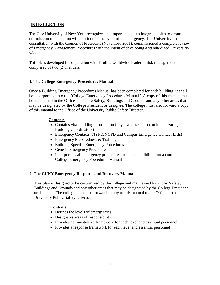## **INTRODUCTION**

The City University of New York recognizes the importance of an integrated plan to ensure that our mission of education will continue in the event of an emergency. The University, in consultation with the Council of Presidents (November 2001), commissioned a complete review of Emergency Management Procedures with the intent of developing a standardized Universitywide plan.

This plan, developed in conjunction with Kroll, a worldwide leader in risk management, is comprised of two (2) manuals:

## **1. The College Emergency Procedures Manual**

Once a Building Emergency Procedures Manual has been completed for each building, it shall be incorporated into the "College Emergency Procedures Manual." A copy of this manual must be maintained in the Offices of Public Safety, Buildings and Grounds and any other areas that may be designated by the College President or designee. The college must also forward a copy of this manual to the Office of the University Public Safety Director.

### **Contents**

- Contains vital building information (physical description, unique hazards, Building Coordinators)
- Emergency Contacts (NYFD/NYPD and Campus Emergency Contact Lists)
- Emergency Preparedness & Training
- Building Specific Emergency Procedures
- Generic Emergency Procedures
- Incorporates all emergency procedures from each building into a complete College Emergency Procedures Manual

### **2. The CUNY Emergency Response and Recovery Manual**

This plan is designed to be customized by the college and maintained by Public Safety, Buildings and Grounds and any other areas that may be designated by the College President or designee. The college must also forward a copy of this manual to the Office of the University Public Safety Director.

### **Contents**

- Defines the levels of emergencies
- Designates areas of responsibility
- Provides administrative framework for each level and essential personnel
- Provides a response framework for each level and essential personnel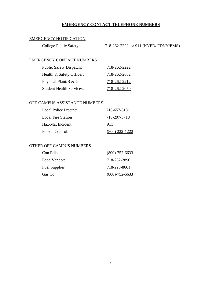## **EMERGENCY CONTACT TELEPHONE NUMBERS**

## EMERGENCY NOTIFICATION

| College Public Safety: | 718-262-2222 or 911 (NYPD/FDNY/EMS) |  |  |
|------------------------|-------------------------------------|--|--|
|                        |                                     |  |  |

## EMERGENCY CONTACT NUMBERS

| <b>Public Safety Dispatch:</b>  | 718-262-2222 |
|---------------------------------|--------------|
| Health & Safety Officer:        | 718-262-2662 |
| Physical Plant/B $& G:$         | 718-262-2212 |
| <b>Student Health Services:</b> | 718-262-2050 |

#### OFF-CAMPUS ASSISTANCE NUMBERS

| Local Police Precinct: | 718-657-8181     |
|------------------------|------------------|
| Local Fire Station     | 718-297-3718     |
| Haz-Mat Incident:      | 911              |
| Poison Control:        | $(800)$ 222-1222 |

## OTHER OFF-CAMPUS NUMBERS

| Con Edison:    | $(800) - 752 - 6633$ |
|----------------|----------------------|
| Food Vendor:   | 718-262-2890         |
| Fuel Supplier: | 718-228-8661         |
| Gas Co.:       | $(800) - 752 - 6633$ |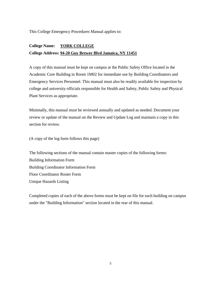This College Emergency Procedures Manual applies to:

# **College Name: YORK COLLEGE College Address: 94-20 Guy Brewer Blvd Jamaica, NY 11451**

A copy of this manual must be kept on campus at the Public Safety Office located in the Academic Core Building in Room 1M02 for immediate use by Building Coordinators and Emergency Services Personnel. This manual must also be readily available for inspection by college and university officials responsible for Health and Safety, Public Safety and Physical Plant Services as appropriate.

Minimally, this manual must be reviewed annually and updated as needed. Document your review or update of the manual on the Review and Update Log and maintain a copy in this section for review.

(A copy of the log form follows this page)

The following sections of the manual contain master copies of the following forms: Building Information Form Building Coordinator Information Form Floor Coordinator Roster Form Unique Hazards Listing

Completed copies of each of the above forms must be kept on file for each building on campus under the "Building Information" section located in the rear of this manual.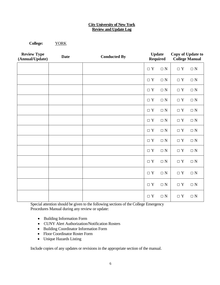#### **City University of New York Review and Update Log**

**College:** YORK

**Review Type Conducted By Conducted By Update Conducted By Conducted By Conducted By Conducted By Conducted By Conducted By Conducted By Conducted By Conducted By Conducted By Conducted By Conducted By Required Copy of Update to College Manual**  $\Box Y$   $\Box N$   $\Box Y$   $\Box N$  $\Box Y \quad \Box N \quad \Box Y \quad \Box N$  $\Box Y$   $\Box N$   $\Box Y$   $\Box N$  $\Box Y$   $\Box N$   $\Box Y$   $\Box N$  $\Box Y \quad \Box N \quad \Box Y \quad \Box N$  $\Box Y$   $\Box N$   $\Box Y$   $\Box N$  $\Box Y$   $\Box N$   $\Box Y$   $\Box N$  $\Box Y$   $\Box N$   $\Box Y$   $\Box N$  $\Box Y$   $\Box N$   $\Box Y$   $\Box N$  $\Box Y \quad \Box N \quad \Box Y \quad \Box N$  $\Box Y \quad \Box N \quad \Box Y \quad \Box N$  $\Box Y \quad \Box N \quad \Box Y \quad \Box N$  $\Box Y$   $\Box N$   $\Box Y$   $\Box N$ 

Special attention should be given to the following sections of the College Emergency Procedures Manual during any review or update:

- Building Information Form
- CUNY Alert Authorization/Notification Rosters
- Building Coordinator Information Form
- Floor Coordinator Roster Form
- Unique Hazards Listing

Include copies of any updates or revisions in the appropriate section of the manual.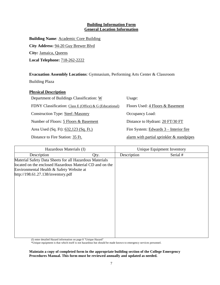### **Building Information Form General Location Information**

**Building Name**: Academic Core Building **City Address:** 94-20 Guy Brewer Blvd **City:** Jamaica, Queens **Local Telephone:** 718-262-2222

**Evacuation Assembly Locations**: Gymnasium, Performing Arts Center & Classroom

Building Plaza

# **Physical Description**

| Department of Buildings Classification: W               | Usage:                                    |
|---------------------------------------------------------|-------------------------------------------|
| FDNY Classification: Class E (Office) & G (Educational) | Floors Used: 4 Floors & Basement          |
| <b>Construction Type: Steel /Masonry</b>                | Occupancy Load:                           |
| Number of Floors: 5 Floors & Basement                   | Distance to Hydrant: 20 FT/30 FT          |
| Area Used (Sq. Ft): 632,123 (Sq. Ft.)                   | Fire System: $Edwards 3 - Interior fire$  |
| Distance to Fire Station: 35 Ft.                        | alarm with partial sprinkler & standpipes |

| Hazardous Materials (I)                                                                                                                                                                               |      | Unique Equipment Inventory |          |  |
|-------------------------------------------------------------------------------------------------------------------------------------------------------------------------------------------------------|------|----------------------------|----------|--|
| Description                                                                                                                                                                                           | Qty. | Description                | Serial # |  |
| Material Safety Data Sheets for all Hazardous Materials<br>located on the enclosed Hazardous Material CD and on the<br>Environmental Health & Safety Website at<br>http://198.61.27.138/inventory.pdf |      |                            |          |  |
|                                                                                                                                                                                                       |      |                            |          |  |

(I) enter detailed Hazard information on page 8 "Unique Hazard"

\*Unique equipment is that which itself is not hazardous but should be made known to emergency services personnel.

**Maintain a copy of completed form in the appropriate building section of the College Emergency Procedures Manual. This form must be reviewed annually and updated as needed.**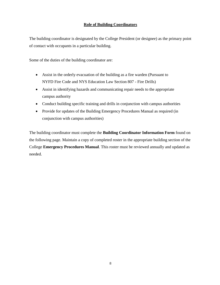## **Role of Building Coordinators**

The building coordinator is designated by the College President (or designee) as the primary point of contact with occupants in a particular building.

Some of the duties of the building coordinator are:

- Assist in the orderly evacuation of the building as a fire warden (Pursuant to NYFD Fire Code and NYS Education Law Section 807 - Fire Drills)
- Assist in identifying hazards and communicating repair needs to the appropriate campus authority
- Conduct building specific training and drills in conjunction with campus authorities
- Provide for updates of the Building Emergency Procedures Manual as required (in conjunction with campus authorities)

The building coordinator must complete the **Building Coordinator Information Form** found on the following page. Maintain a copy of completed roster in the appropriate building section of the College **Emergency Procedures Manual**. This roster must be reviewed annually and updated as needed.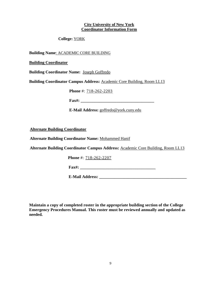#### **City University of New York Coordinator Information Form**

### **College:** YORK

**Building Name**: ACADEMIC CORE BUILDING

**Building Coordinator**

**Building Coordinator Name:** Joseph Goffredo

**Building Coordinator Campus Address:** Academic Core Building, Room LL13

**Phone** #: 718-262-2203

**Fax#: \_\_\_\_\_\_\_\_\_\_\_\_\_\_\_\_\_\_\_\_\_\_\_\_\_\_\_\_\_\_\_\_\_\_\_**

**E-Mail Address:** goffredo@york.cuny.edu

**Alternate Building Coordinator**

**Alternate Building Coordinator Name:** Mohammed Hanif

**Alternate Building Coordinator Campus Address:** Academic Core Building, Room LL13

**Phone** #: 718-262-2207

**Fax#: \_\_\_\_\_\_\_\_\_\_\_\_\_\_\_\_\_\_\_\_\_\_\_\_\_\_\_\_\_\_\_\_\_\_\_\_**

**E-Mail Address: \_\_\_\_\_\_\_\_\_\_\_\_\_\_\_\_\_\_\_\_\_\_\_\_\_\_\_\_\_\_\_\_\_\_\_\_\_\_\_\_\_\_**

**Maintain a copy of completed roster in the appropriate building section of the College Emergency Procedures Manual. This roster must be reviewed annually and updated as needed.**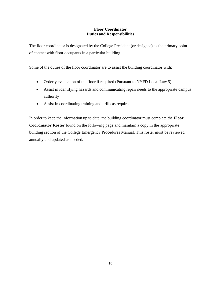### **Floor Coordinator Duties and Responsibilities**

The floor coordinator is designated by the College President (or designee) as the primary point of contact with floor occupants in a particular building.

Some of the duties of the floor coordinator are to assist the building coordinator with:

- Orderly evacuation of the floor if required (Pursuant to NYFD Local Law 5)
- Assist in identifying hazards and communicating repair needs to the appropriate campus authority
- Assist in coordinating training and drills as required

In order to keep the information up to date, the building coordinator must complete the **Floor Coordinator Roster** found on the following page and maintain a copy in the appropriate building section of the College Emergency Procedures Manual. This roster must be reviewed annually and updated as needed.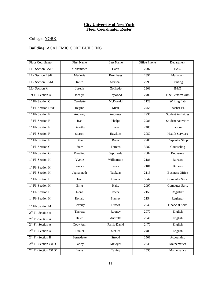#### **City University of New York Floor Coordinator Roster**

# **College:** YORK

# **Building:** ACADEMIC CORE BUILDING

| <b>Floor Coordinator</b>         | <b>First Name</b> | <b>Last Name</b> | Office Phone | Department                |
|----------------------------------|-------------------|------------------|--------------|---------------------------|
| LL- Section B&D                  | Mohammed          | Hanif            | 2207         | B&G                       |
| LL-Section E&F                   | Marjorie          | <b>Brunthues</b> | 2397         | Mailroom                  |
| LL-Section E&M                   | Keith             | Marshall         | 2293         | Printing                  |
| LL-Section M                     | Joseph            | Goffredo         | 2203         | B&G                       |
| 1st Fl- Section A                | Jocelyn           | Heywood          | 2400         | Fine/Perform Arts         |
| $1st$ Fl- Section C              | Carolette         | McDonald         | 2128         | <b>Writing Lab</b>        |
| 1 <sup>st</sup> Fl- Section D&E  | Regina            | Misir            | 2458         | <b>Teacher ED</b>         |
| $1st$ Fl- Section E              | Anthony           | Andrews          | 2936         | <b>Student Activities</b> |
| $1st$ Fl- Section E              | Jean              | Phelps           | 2286         | <b>Student Activities</b> |
| $1st$ Fl- Section F              | Timothy           | Lane             | 2485         | Laborer                   |
| $1st$ Fl- Section F              | Sharon            | Hawkins          | 2050         | <b>Health Services</b>    |
| $1st$ Fl- Section F              | Glen              | Roew             | 2200         | Carpenter Shop            |
| $1st$ Fl- Section G              | <b>Starr</b>      | Ferrens          | 3782         | Counseling                |
| $1st$ Fl- Section G              | Rosalind          | Sepulveda        | 2882         | <b>Bookstore</b>          |
| 1 <sup>st</sup> Fl- Section H    | Yvette            | Williamson       | 2186         | <b>Bursars</b>            |
| 1 <sup>st</sup> Fl- Section H    | Jessica           | Roca             | 2181         | <b>Bursars</b>            |
| 1 <sup>st</sup> Fl- Section H    | Jagnannath        | Taukdar          | 2115         | <b>Business Office</b>    |
| $1st$ Fl- Section H              | Jean              | Garcia           | 5347         | Computer Serv.            |
| $1st$ Fl- Section H              | <b>Britu</b>      | Haile            | 2097         | Computer Serv.            |
| $1st$ Fl- Section H              | Nona              | Reece            | 2150         | Registrar                 |
| 1 <sup>st</sup> Fl- Section H    | Ronald            | Stanley          | 2154         | Registrar                 |
| 1 <sup>st</sup> Fl- Section M    | Beverly           | <b>Brown</b>     | 2240         | Financial Serv.           |
| $2nd$ Fl- Section A              | Theresa           | Rooney           | 2070         | English                   |
| $2nd$ Fl- Section A              | Helen             | Andretta         | 2346         | English                   |
| $2nd$ Fl- Section A              | Cody Ann          | Parris-David     | 2470         | English                   |
| $2nd$ Fl- Section A              | Daniel            | McGee            | 2489         | English                   |
| $2nd$ Fl- Section B              | Bernadette        | Stroud           | 2501         | Accounting                |
| $2nd$ Fl-Section C&D             | Farley            | Mawyer           | 2535         | Mathematics               |
| 2 <sup>nd</sup> Fl- Section C&D' | Irene             | Taniey           | 2535         | Mathematics               |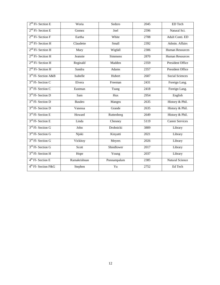| $2nd$ Fl- Section E             | Woria         | Sedzro           | 2045 | ED Tech                 |
|---------------------------------|---------------|------------------|------|-------------------------|
| $2nd$ Fl- Section E             | Gomez         | Joel             | 2596 | Natural Sci.            |
| $2nd$ Fl- Section F             | Eartha        | White            | 2708 | Adult Conti. ED         |
| $2nd$ Fl- Section H             | Claudette     | Small            | 2392 | Admin. Affairs          |
| $2nd$ Fl- Section H             | Mary          | Wigfall          | 2306 | <b>Human Resources</b>  |
| $2nd$ Fl- Section H             | Jeannie       | <b>Simmons</b>   | 2870 | <b>Human Resources</b>  |
| 2 <sup>nd</sup> Fl- Section H   | Reginald      | Madden           | 2359 | <b>President Office</b> |
| $2nd$ Fl- Section H             | Sandra        | <b>Adams</b>     | 2357 | <b>President Office</b> |
| 3rd Fl- Section A&B             | Isabelle      | Hubert           | 2607 | <b>Social Sciences</b>  |
| 3rd Fl- Section C               | Elvera        | Freeman          | 2431 | Foreign Lang.           |
| $3rd$ Fl- Section C             | Eastman       | Tsang            | 2418 | Foreign Lang.           |
| 3rd Fl- Section D               | Sam           | $\overline{Hux}$ | 2954 | English                 |
| 3rd Fl- Section D               | <b>Basdeo</b> | Mangru           | 2635 | History & Phil.         |
| 3rd Fl- Section D               | Vanessa       | Grande           | 2635 | History & Phil.         |
| 3rd Fl- Section E               | Howard        | Ruttenberg       | 2649 | History & Phil.         |
| 3 <sup>rd</sup> Fl- Section E   | Linda         | Chesney          | 5119 | <b>Career Services</b>  |
| $3rd$ Fl- Section G             | John          | Drobnicki        | 3809 | Library                 |
| $3rd$ Fl- Section G             | Njoki         | Kinyatti         | 2021 | Library                 |
| 3 <sup>rd</sup> Fl- Section G   | Vickitoy      | Meyers           | 2026 | Library                 |
| 3 <sup>rd</sup> Fl- Section G   | Scott         | Shiedlower       | 2017 | Library                 |
| 3rd Fl- Section H               | Hope          | Young            | 2037 | Library                 |
| 4 <sup>th</sup> Fl- Section E   | Ramakrishnan  | Ponnampalam      | 2385 | <b>Natural Science</b>  |
| 4 <sup>th</sup> Fl- Section F&G | Stephen       | $\overline{Yu}$  | 2752 | Ed Tech                 |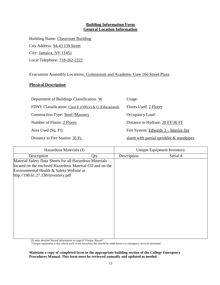### **Building Information Form General Location Information**

Building Name: Classroom Building City Address: 94-43 159 Street City: Jamaica, NY 11451 Local Telephone: 718-262-2222

Evacuation Assembly Locations: Gymnasium and Academic Core 160 Street Plaza

### **Physical Description**

| Department of Buildings Classification: W               | Usage:                                      |
|---------------------------------------------------------|---------------------------------------------|
| FDNY Classification: Class E (Office) & G (Educational) | Floors Used: 2 Floors                       |
| <b>Construction Type: Steel /Masonry</b>                | Occupancy Load:                             |
| Number of Floors: 2 Floors                              | Distance to Hydrant: 20 FT/30 FT            |
| Area Used (Sq. Ft):                                     | Fire System: Edwards 3 – Interior fire      |
| Distance to Fire Station: 35 Ft.                        | alarm with partial sprinkler $&$ standpipes |

| Hazardous Materials (I)                                  |  | Unique Equipment Inventory |          |  |
|----------------------------------------------------------|--|----------------------------|----------|--|
| Description<br>Qty.                                      |  | Description                | Serial # |  |
| Material Safety Data Sheets for all Hazardous Materials  |  |                            |          |  |
| located on the enclosed Hazardous Material CD and on the |  |                            |          |  |
| Environmental Health & Safety Website at                 |  |                            |          |  |
| http://198.61.27.138/inventory.pdf                       |  |                            |          |  |
|                                                          |  |                            |          |  |
|                                                          |  |                            |          |  |
|                                                          |  |                            |          |  |
|                                                          |  |                            |          |  |
|                                                          |  |                            |          |  |
|                                                          |  |                            |          |  |
|                                                          |  |                            |          |  |
|                                                          |  |                            |          |  |
|                                                          |  |                            |          |  |
|                                                          |  |                            |          |  |
|                                                          |  |                            |          |  |
|                                                          |  |                            |          |  |

(I) enter detailed Hazard information on page 8 "Unique Hazard"

\*Unique equipment is that which itself is not hazardous but should be made known to emergency services personnel.

**Maintain a copy of completed form in the appropriate building section of the College Emergency Procedures Manual. This form must be reviewed annually and updated as needed.**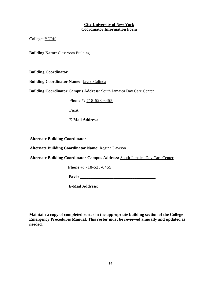#### **City University of New York Coordinator Information Form**

**College:** YORK

**Building Name**: Classroom Building

**Building Coordinator**

**Building Coordinator Name:** Jayne Calinda

**Building Coordinator Campus Address:** South Jamaica Day Care Center

**Phone** #: 718-523-6455

**Fax#: \_\_\_\_\_\_\_\_\_\_\_\_\_\_\_\_\_\_\_\_\_\_\_\_\_\_\_\_\_\_\_\_\_\_\_**

**E-Mail Address:**

**Alternate Building Coordinator**

**Alternate Building Coordinator Name:** Regina Dawson

**Alternate Building Coordinator Campus Address:** South Jamaica Day Care Center

**Phone** #: 718-523-6455

**Fax#: \_\_\_\_\_\_\_\_\_\_\_\_\_\_\_\_\_\_\_\_\_\_\_\_\_\_\_\_\_\_\_\_\_\_\_\_**

**E-Mail Address: \_\_\_\_\_\_\_\_\_\_\_\_\_\_\_\_\_\_\_\_\_\_\_\_\_\_\_\_\_\_\_\_\_\_\_\_\_\_\_\_\_\_**

**Maintain a copy of completed roster in the appropriate building section of the College Emergency Procedures Manual. This roster must be reviewed annually and updated as needed.**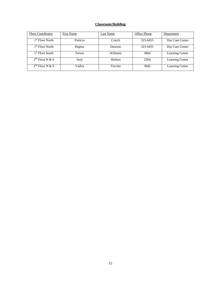#### **Classroom Building**

| <b>Floor Coordinator</b>    | <b>First Name</b> | Last Name      | Office Phone | Department      |
|-----------------------------|-------------------|----------------|--------------|-----------------|
| 1 <sup>st</sup> Floor North | Patricia          | Crutch         | 523-6455     | Day Care Center |
| 1 <sup>st</sup> Floor North | Regina            | Dawson         | 523-6455     | Day Care Center |
| 1 <sup>st</sup> Floor South | Trevor            | Williams       | 3804         | Learning Center |
| $2nd$ Floor N & S           | Sory              | <b>Skelton</b> | 2564         | Learning Center |
| $2nd$ Floor N & S           | Yadira            | Trevino        | 3842         | Learning Center |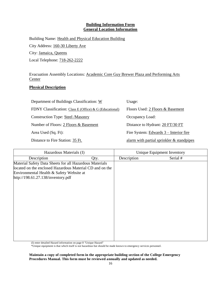#### **Building Information Form General Location Information**

Building Name: Health and Physical Education Building City Address: 160-30 Liberty Ave City: Jamaica, Queens Local Telephone: 718-262-2222

Evacuation Assembly Locations: Academic Core Guy Brewer Plaza and Performing Arts Center

## **Physical Description**

| Department of Buildings Classification: W               | Usage:                                      |
|---------------------------------------------------------|---------------------------------------------|
| FDNY Classification: Class E (Office) & G (Educational) | Floors Used: 2 Floors & Basement            |
| <b>Construction Type: Steel /Masonry</b>                | Occupancy Load:                             |
| Number of Floors: 2 Floors & Basement                   | Distance to Hydrant: 20 FT/30 FT            |
| Area Used (Sq. Ft):                                     | Fire System: Edwards 3 – Interior fire      |
| Distance to Fire Station: 35 Ft.                        | alarm with partial sprinkler $&$ standpipes |

| Hazardous Materials (I)                                                                                                                                                                               |      |             | Unique Equipment Inventory |
|-------------------------------------------------------------------------------------------------------------------------------------------------------------------------------------------------------|------|-------------|----------------------------|
| Description                                                                                                                                                                                           | Qty. | Description | Serial #                   |
| Material Safety Data Sheets for all Hazardous Materials<br>located on the enclosed Hazardous Material CD and on the<br>Environmental Health & Safety Website at<br>http://198.61.27.138/inventory.pdf |      |             |                            |
|                                                                                                                                                                                                       |      |             |                            |

(I) enter detailed Hazard information on page 8 "Unique Hazard"

\*Unique equipment is that which itself is not hazardous but should be made known to emergency services personnel.

**Maintain a copy of completed form in the appropriate building section of the College Emergency Procedures Manual. This form must be reviewed annually and updated as needed.**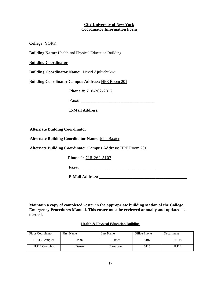#### **City University of New York Coordinator Information Form**

**College:** YORK

**Building Name**: Health and Physical Education Building

**Building Coordinator**

**Building Coordinator Name:** David Ajuluchukwu

**Building Coordinator Campus Address:** HPE Room 201

**Phone** #: 718-262-2817

**Fax#: \_\_\_\_\_\_\_\_\_\_\_\_\_\_\_\_\_\_\_\_\_\_\_\_\_\_\_\_\_\_\_\_\_\_\_**

**E-Mail Address:**

**Alternate Building Coordinator**

**Alternate Building Coordinator Name:** John Baxter

**Alternate Building Coordinator Campus Address:** HPE Room 201

**Phone** #: 718-262-5107

**Fax#: \_\_\_\_\_\_\_\_\_\_\_\_\_\_\_\_\_\_\_\_\_\_\_\_\_\_\_\_\_\_\_\_\_\_\_\_**

**E-Mail Address: \_\_\_\_\_\_\_\_\_\_\_\_\_\_\_\_\_\_\_\_\_\_\_\_\_\_\_\_\_\_\_\_\_\_\_\_\_\_\_\_\_\_**

**Maintain a copy of completed roster in the appropriate building section of the College Emergency Procedures Manual. This roster must be reviewed annually and updated as needed.**

#### **Health & Physical Education Building**

| <b>Floor Coordinator</b> | <b>First Name</b> | Last Name        | Office Phone | Department |
|--------------------------|-------------------|------------------|--------------|------------|
| H.P.E. Complex           | John              | <b>Baxter</b>    | 5107         | H.P.E.     |
| H.P.E Complex            | Denee             | <b>Barracato</b> | 5115         | H.P.E      |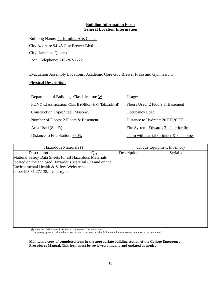### **Building Information Form General Location Information**

Building Name: Performing Arts Center City Address: 94-45 Guy Brewer Blvd City: Jamaica, Queens Local Telephone: 718-262-2222

Evacuation Assembly Locations: Academic Core Guy Brewer Plaza and Gymnasium

### **Physical Description**

| Department of Buildings Classification: W               | Usage:                                      |
|---------------------------------------------------------|---------------------------------------------|
| FDNY Classification: Class E (Office) & G (Educational) | Floors Used: 2 Floors & Basement            |
| <b>Construction Type: Steel /Masonry</b>                | Occupancy Load:                             |
| Number of Floors: 2 Floors & Basement                   | Distance to Hydrant: 20 FT/30 FT            |
| Area Used (Sq. Ft):                                     | Fire System: Edwards 3 – Interior fire      |
| Distance to Fire Station: 35 Ft.                        | alarm with partial sprinkler $&$ standpipes |

| Hazardous Materials (I)                                  |      | Unique Equipment Inventory |          |
|----------------------------------------------------------|------|----------------------------|----------|
| Description                                              | Qty. | Description                | Serial # |
| Material Safety Data Sheets for all Hazardous Materials  |      |                            |          |
| located on the enclosed Hazardous Material CD and on the |      |                            |          |
| Environmental Health & Safety Website at                 |      |                            |          |
| http://198.61.27.138/inventory.pdf                       |      |                            |          |
|                                                          |      |                            |          |
|                                                          |      |                            |          |
|                                                          |      |                            |          |
|                                                          |      |                            |          |
|                                                          |      |                            |          |
|                                                          |      |                            |          |
|                                                          |      |                            |          |
|                                                          |      |                            |          |
|                                                          |      |                            |          |
|                                                          |      |                            |          |
|                                                          |      |                            |          |

(I) enter detailed Hazard information on page 8 "Unique Hazard"

\*Unique equipment is that which itself is not hazardous but should be made known to emergency services personnel.

**Maintain a copy of completed form in the appropriate building section of the College Emergency Procedures Manual. This form must be reviewed annually and updated as needed.**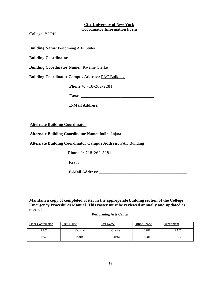#### **City University of New York Coordinator Information Form**

**College:** YORK

**Building Name**: Performing Arts Center

#### **Building Coordinator**

**Building Coordinator Name:** Kwame Clarke

**Building Coordinator Campus Address:** PAC Building

**Phone** #: 718-262-2281

**Fax#: \_\_\_\_\_\_\_\_\_\_\_\_\_\_\_\_\_\_\_\_\_\_\_\_\_\_\_\_\_\_\_\_\_\_\_**

**E-Mail Address:**

**Alternate Building Coordinator**

**Alternate Building Coordinator Name:** Indira Lajara

**Alternate Building Coordinator Campus Address:** PAC Building

**Phone** #: 718-262-5281

**Fax#:**  $\blacksquare$ 

**E-Mail Address: \_\_\_\_\_\_\_\_\_\_\_\_\_\_\_\_\_\_\_\_\_\_\_\_\_\_\_\_\_\_\_\_\_\_\_\_\_\_\_\_\_\_**

**Maintain a copy of completed roster in the appropriate building section of the College Emergency Procedures Manual. This roster must be reviewed annually and updated as needed.**

#### **Performing Arts Center**

| <b>Floor Coordinator</b> | First Name | Last Name     | Office Phone | Department |
|--------------------------|------------|---------------|--------------|------------|
| PAC                      | Kwame      | <b>Tlarke</b> | 2281         | PAC        |
| PAC                      | Indira     | Lajara        | 5281         | <b>PAC</b> |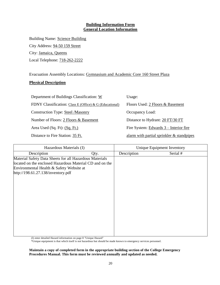### **Building Information Form General Location Information**

Building Name: Science Building City Address: 94-50 159 Street City: Jamaica, Queens Local Telephone: 718-262-2222

Evacuation Assembly Locations: Gymnasium and Academic Core 160 Street Plaza

### **Physical Description**

| Department of Buildings Classification: W               | Usage:                                       |
|---------------------------------------------------------|----------------------------------------------|
| FDNY Classification: Class E (Office) & G (Educational) | Floors Used: 2 Floors & Basement             |
| <b>Construction Type: Steel /Masonry</b>                | Occupancy Load:                              |
| Number of Floors: 2 Floors & Basement                   | Distance to Hydrant: 20 FT/30 FT             |
| Area Used (Sq. Ft): (Sq. Ft.)                           | Fire System: $Edwards 3 – Interior fire$     |
| Distance to Fire Station: 35 Ft.                        | alarm with partial sprinkler $\&$ standpipes |

| Hazardous Materials (I)                                                                                                                                                                               |      | Unique Equipment Inventory |          |
|-------------------------------------------------------------------------------------------------------------------------------------------------------------------------------------------------------|------|----------------------------|----------|
| Description                                                                                                                                                                                           | Qty. | Description                | Serial # |
| Material Safety Data Sheets for all Hazardous Materials<br>located on the enclosed Hazardous Material CD and on the<br>Environmental Health & Safety Website at<br>http://198.61.27.138/inventory.pdf |      |                            |          |
|                                                                                                                                                                                                       |      |                            |          |

(I) enter detailed Hazard information on page 8 "Unique Hazard"

\*Unique equipment is that which itself is not hazardous but should be made known to emergency services personnel.

**Maintain a copy of completed form in the appropriate building section of the College Emergency Procedures Manual. This form must be reviewed annually and updated as needed.**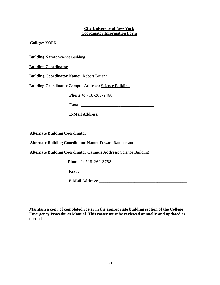## **City University of New York Coordinator Information Form**

**College:** YORK

**Building Name**: Science Building

**Building Coordinator**

**Building Coordinator Name:** Robert Brugna

**Building Coordinator Campus Address:** Science Building

**Phone** #: 718-262-2460

**Fax#:**  $\frac{1}{2}$ 

**E-Mail Address:**

**Alternate Building Coordinator**

**Alternate Building Coordinator Name:** Edward Rampersaud

**Alternate Building Coordinator Campus Address:** Science Building

**Phone** #: 718-262-3758

**Fax#: \_\_\_\_\_\_\_\_\_\_\_\_\_\_\_\_\_\_\_\_\_\_\_\_\_\_\_\_\_\_\_\_\_\_\_\_**

**E-Mail Address: \_\_\_\_\_\_\_\_\_\_\_\_\_\_\_\_\_\_\_\_\_\_\_\_\_\_\_\_\_\_\_\_\_\_\_\_\_\_\_\_\_\_**

**Maintain a copy of completed roster in the appropriate building section of the College Emergency Procedures Manual. This roster must be reviewed annually and updated as needed.**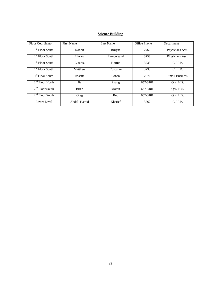## **Science Building**

| Floor Coordinator           | First Name   | Last Name     | Office Phone | Department            |
|-----------------------------|--------------|---------------|--------------|-----------------------|
| 1 <sup>st</sup> Floor South | Robert       | <b>Brugna</b> | 2460         | Physicians Asst.      |
| 1 <sup>st</sup> Floor South | Edward       | Rampersaud    | 3758         | Physicians Asst.      |
| 1 <sup>st</sup> Floor South | Claudia      | Hortua        | 3733         | C.L.I.P.              |
| 1 <sup>st</sup> Floor South | Matthew      | Corcoran      | 3733         | C.L.LP.               |
| 1 <sup>st</sup> Floor South | Rosetta      | Caban         | 2576         | <b>Small Business</b> |
| $2nd$ Floor North           | Jie          | <b>Zhang</b>  | 657-3181     | Ons. H.S.             |
| $2nd$ Floor South           | <b>Brian</b> | Moran         | 657-3181     | Ons. H.S.             |
| $2nd$ Floor South           | Greg         | Reo           | 657-3181     | Ons. H.S.             |
| Lower Level                 | Abdel-Hamid  | Kherief       | 3762         | C.L.I.P.              |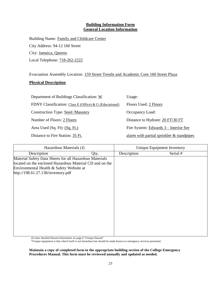#### **Building Information Form General Location Information**

Building Name: Family and Childcare Center City Address: 94-12 160 Street City: Jamaica, Queens Local Telephone: 718-262-2222

Evacuation Assembly Location: 159 Street Trestle and Academic Core 160 Street Plaza

### **Physical Description**

| Department of Buildings Classification: W               | Usage:                                      |
|---------------------------------------------------------|---------------------------------------------|
| FDNY Classification: Class E (Office) & G (Educational) | Floors Used: 2 Floors                       |
| <b>Construction Type: Steel /Masonry</b>                | Occupancy Load:                             |
| Number of Floors: 2 Floors                              | Distance to Hydrant: 20 FT/30 FT            |
| Area Used (Sq. Ft): (Sq. Ft.)                           | Fire System: Edwards 3 – Interior fire      |
| Distance to Fire Station: 35 Ft.                        | alarm with partial sprinkler $&$ standpipes |

| Hazardous Materials (I)                                                                                                                                                                               |      |             | Unique Equipment Inventory |
|-------------------------------------------------------------------------------------------------------------------------------------------------------------------------------------------------------|------|-------------|----------------------------|
| Description                                                                                                                                                                                           | Qty. | Description | Serial #                   |
| Material Safety Data Sheets for all Hazardous Materials<br>located on the enclosed Hazardous Material CD and on the<br>Environmental Health & Safety Website at<br>http://198.61.27.138/inventory.pdf |      |             |                            |
|                                                                                                                                                                                                       |      |             |                            |

(I) enter detailed Hazard information on page 8 "Unique Hazard"

\*Unique equipment is that which itself is not hazardous but should be made known to emergency services personnel.

**Maintain a copy of completed form in the appropriate building section of the College Emergency Procedures Manual. This form must be reviewed annually and updated as needed.**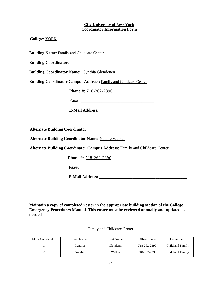#### **City University of New York Coordinator Information Form**

**College:** YORK

**Building Name**: Family and Childcare Center

**Building Coordinator**:

**Building Coordinator Name:** Cynthia Glendenen

**Building Coordinator Campus Address:** Family and Childcare Center

**Phone** #: 718-262-2390

**Fax#: \_\_\_\_\_\_\_\_\_\_\_\_\_\_\_\_\_\_\_\_\_\_\_\_\_\_\_\_\_\_\_\_\_\_\_**

**E-Mail Address:**

**Alternate Building Coordinator**

**Alternate Building Coordinator Name:** Natalie Walker

**Alternate Building Coordinator Campus Address:** Family and Childcare Center

**Phone** #: 718-262-2390

**Fax#: \_\_\_\_\_\_\_\_\_\_\_\_\_\_\_\_\_\_\_\_\_\_\_\_\_\_\_\_\_\_\_\_\_\_\_\_**

**E-Mail Address: \_\_\_\_\_\_\_\_\_\_\_\_\_\_\_\_\_\_\_\_\_\_\_\_\_\_\_\_\_\_\_\_\_\_\_\_\_\_\_\_\_\_**

**Maintain a copy of completed roster in the appropriate building section of the College Emergency Procedures Manual. This roster must be reviewed annually and updated as needed.**

#### Family and Childcare Center

| Floor Coordinator | <b>First Name</b> | Last Name | Office Phone | Department       |
|-------------------|-------------------|-----------|--------------|------------------|
|                   | Cvnthia           | Glendenin | 718-262-2390 | Child and Family |
|                   | Natalie           | Walker    | 718-262-2390 | Child and Family |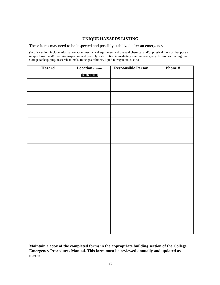### **UNIQUE HAZARDS LISTING**

These items may need to be inspected and possibly stabilized after an emergency

(In this section, include information about mechanical equipment and unusual chemical and/or physical hazards that pose a unique hazard and/or require inspection and possibly stabilization immediately after an emergency. Examples: underground storage tanks/piping, research animals, toxic gas cabinets, liquid nitrogen tanks, etc.)

| <b>Hazard</b> | <b>Location</b> (room, | <b>Responsible Person</b> | Phone# |
|---------------|------------------------|---------------------------|--------|
|               | department)            |                           |        |
|               |                        |                           |        |
|               |                        |                           |        |
|               |                        |                           |        |
|               |                        |                           |        |
|               |                        |                           |        |
|               |                        |                           |        |
|               |                        |                           |        |
|               |                        |                           |        |
|               |                        |                           |        |
|               |                        |                           |        |
|               |                        |                           |        |
|               |                        |                           |        |
|               |                        |                           |        |
|               |                        |                           |        |
|               |                        |                           |        |
|               |                        |                           |        |
|               |                        |                           |        |
|               |                        |                           |        |
|               |                        |                           |        |
|               |                        |                           |        |
|               |                        |                           |        |
|               |                        |                           |        |
|               |                        |                           |        |
|               |                        |                           |        |

**Maintain a copy of the completed forms in the appropriate building section of the College Emergency Procedures Manual. This form must be reviewed annually and updated as needed**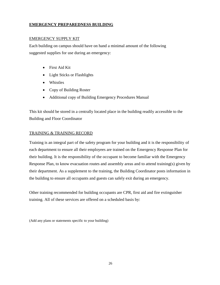## **EMERGENCY PREPAREDNESS BUILDING**

#### EMERGENCY SUPPLY KIT

Each building on campus should have on hand a minimal amount of the following suggested supplies for use during an emergency:

- First Aid Kit
- Light Sticks or Flashlights
- Whistles
- Copy of Building Roster
- Additional copy of Building Emergency Procedures Manual

This kit should be stored in a centrally located place in the building readily accessible to the Building and Floor Coordinator

#### TRAINING & TRAINING RECORD

Training is an integral part of the safety program for your building and it is the responsibility of each department to ensure all their employees are trained on the Emergency Response Plan for their building. It is the responsibility of the occupant to become familiar with the Emergency Response Plan, to know evacuation routes and assembly areas and to attend training(s) given by their department. As a supplement to the training, the Building Coordinator posts information in the building to ensure all occupants and guests can safely exit during an emergency.

Other training recommended for building occupants are CPR, first aid and fire extinguisher training. All of these services are offered on a scheduled basis by:

(Add any plans or statements specific to your building)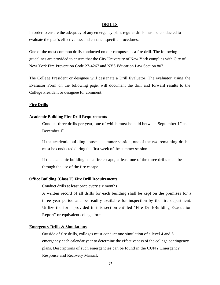#### **DRILLS**

In order to ensure the adequacy of any emergency plan, regular drills must be conducted to evaluate the plan's effectiveness and enhance specific procedures.

One of the most common drills conducted on our campuses is a fire drill. The following guidelines are provided to ensure that the City University of New York complies with City of New York Fire Prevention Code 27-4267 and NYS Education Law Section 807.

The College President or designee will designate a Drill Evaluator. The evaluator, using the Evaluator Form on the following page, will document the drill and forward results to the College President or designee for comment.

#### **Fire Drills**

#### **Academic Building Fire Drill Requirements**

Conduct three drills per year, one of which must be held between September 1st and December 1<sup>st</sup>

If the academic building houses a summer session, one of the two remaining drills must be conducted during the first week of the summer session

If the academic building has a fire escape, at least one of the three drills must be through the use of the fire escape

#### **Office Building (Class E) Fire Drill Requirements**

Conduct drills at least once every six months

A written record of all drills for each building shall be kept on the premises for a three year period and be readily available for inspection by the fire department. Utilize the form provided in this section entitled "Fire Drill/Building Evacuation Report" or equivalent college form.

#### **Emergency Drills** & **Simulations**

Outside of fire drills, colleges must conduct one simulation of a level 4 and 5 emergency each calendar year to determine the effectiveness of the college contingency plans. Descriptions of such emergencies can be found in the CUNY Emergency Response and Recovery Manual.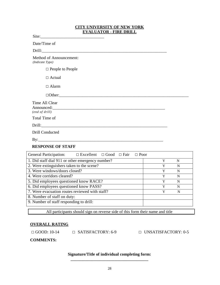#### **CITY UNIVERSITY OF NEW YORK EVALUATOR - FIRE DRILL**

Site:

Date/Time of

Drill:

Method of Announcement: *(Indicate Type)*

□ People to People

□ Actual

□ Alarm

| $\Box$ $\Box$                    |  |  |
|----------------------------------|--|--|
| Time All Clear<br>(end of drill) |  |  |
| Total Time of                    |  |  |
|                                  |  |  |
| Drill Conducted                  |  |  |
| $\mathbf{By:}\square$            |  |  |
| <b>RESPONSE OF STAFF</b>         |  |  |

| <b>General Participation:</b><br>$\Box$ Excellent $\Box$ Good $\Box$ Fair $\Box$ Poor |   |   |
|---------------------------------------------------------------------------------------|---|---|
| 1. Did staff dial 911 or other emergency number?                                      | Y | N |
| 2. Were extinguishers taken to the scene?                                             | Y | N |
| 3. Were windows/doors closed?                                                         | Y | N |
| 4. Were corridors cleared?                                                            | Y | N |
| 5. Did employees questioned know RACE?                                                | Y | N |
| 6. Did employees questioned know PASS?                                                | Y | N |
| 7. Were evacuation routes reviewed with staff?                                        | Y | N |
| 8. Number of staff on duty:                                                           |   |   |
| 9. Number of staff responding to drill:                                               |   |   |

All participants should sign on reverse side of this form their name and title

### **OVERALL RATING**

□ GOOD: 10-14 □ SATISFACTORY: 6-9 □ UNSATISFACTORY: 0-5

**COMMENTS:**

## **Signature/Title of individual completing form: \_\_\_\_\_\_\_\_\_\_\_\_\_\_\_\_\_\_\_\_\_\_\_\_\_\_\_\_\_\_\_\_\_\_\_\_\_**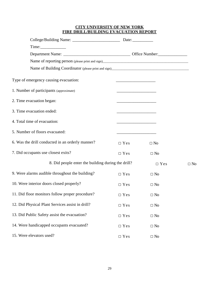## **CITY UNIVERSITY OF NEW YORK FIRE DRILL/BUILDING EVACUATION REPORT**

| Type of emergency causing evacuation:              |                     |            |           |
|----------------------------------------------------|---------------------|------------|-----------|
| 1. Number of participants (approximate)            |                     |            |           |
| 2. Time evacuation began:                          |                     |            |           |
| 3. Time evacuation ended:                          |                     |            |           |
| 4. Total time of evacuation:                       |                     |            |           |
| 5. Number of floors evacuated:                     |                     |            |           |
| 6. Was the drill conducted in an orderly manner?   | $\Box$ Yes          | $\Box$ No  |           |
| 7. Did occupants use closest exits?                | $\Box$ Yes          | $\Box$ No  |           |
| 8. Did people enter the building during the drill? |                     | $\Box$ Yes | $\Box$ No |
| 9. Were alarms audible throughout the building?    | $\Box$ Yes          | $\Box$ No  |           |
| 10. Were interior doors closed properly?           | $\Box$ Yes          | $\Box$ No  |           |
| 11. Did floor monitors follow proper procedure?    | $\Box$ Yes          | $\Box$ No  |           |
| 12. Did Physical Plant Services assist in drill?   | $\Box$ Yes          | $\Box$ No  |           |
| 13. Did Public Safety assist the evacuation?       | $\Box$ Yes          | $\Box$ No  |           |
| 14. Were handicapped occupants evacuated?          | $\Box$ Yes          | $\Box$ No  |           |
| 15. Were elevators used?                           | $\hfill\Box$<br>Yes | $\Box$ No  |           |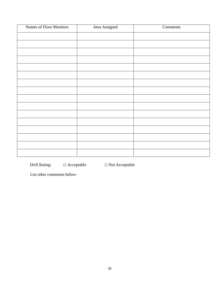| Names of Floor Monitors | Area Assigned | Comments |
|-------------------------|---------------|----------|
|                         |               |          |
|                         |               |          |
|                         |               |          |
|                         |               |          |
|                         |               |          |
|                         |               |          |
|                         |               |          |
|                         |               |          |
|                         |               |          |
|                         |               |          |
|                         |               |          |
|                         |               |          |
|                         |               |          |
|                         |               |          |
|                         |               |          |
|                         |               |          |

Drill Rating: □ Acceptable □ Not Acceptable

List other comments below: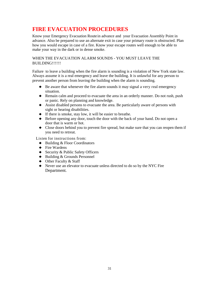# **FIRE EVACUATION PROCEDURES**

Know your Emergency Evacuation Route in advance and your Evacuation Assembly Point in advance. Also be prepared to use an alternate exit in case your primary route is obstructed. Plan how you would escape in case of a fire. Know your escape routes well enough to be able to make your way in the dark or in dense smoke.

WHEN THE EVACUATION ALARM SOUNDS - YOU MUST LEAVE THE BUILDING!!!!!!

Failure to leave a building when the fire alarm is sounding is a violation of New York state law. Always assume it is a real emergency and leave the building. It is unlawful for any person to prevent another person from leaving the building when the alarm is sounding.

- $\triangle$  Be aware that whenever the fire alarm sounds it may signal a very real emergency situation.
- ♦ Remain calm and proceed to evacuate the area in an orderly manner. Do not rush, push or panic. Rely on planning and knowledge.
- ♦ Assist disabled persons to evacuate the area. Be particularly aware of persons with sight or hearing disabilities.
- $\blacklozenge$  If there is smoke, stay low, it will be easier to breathe.
- $\blacklozenge$  Before opening any door, touch the door with the back of your hand. Do not open a door that is warm or hot.
- ♦ Close doors behind you to prevent fire spread, but make sure that you can reopen them if you need to retreat.

Listen for instructions from:

- ♦ Building & Floor Coordinators
- $\leftarrow$  Fire Wardens
- ♦ Security & Public Safety Officers
- ♦ Building & Grounds Personnel
- $\triangle$  Other Faculty & Staff
- ♦ Never use an elevator to evacuate unless directed to do so by the NYC Fire Department.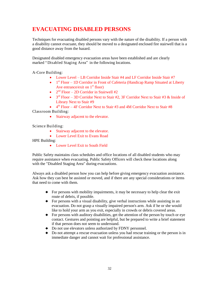# **EVACUATING DISABLED PERSONS**

Techniques for evacuating disabled persons vary with the nature of the disability. If a person with a disability cannot evacuate, they should be moved to a designated enclosed fire stairwell that is a good distance away from the hazard.

Designated disabled emergency evacuation areas have been established and are clearly marked "Disabled Staging Area" in the following locations.

A-Core Building:

- Lower Level LB Corridor Inside Stair #4 and LF Corridor Inside Stair #7
- $\bullet$  1<sup>st</sup> Floor 1D Corridor in Front of Cafeteria (Handicap Ramp Situated at Liberty Ave entrance/exit on  $1<sup>st</sup>$  floor)
- $2<sup>nd</sup> Floor 2D Corridor in Stairwell #2$
- $\bullet$  3<sup>rd</sup> Floor 3D Corridor Next to Stair #2, 3F Corridor Next to Stair #3 & Inside of Library Next to Stair #9
- $\bullet$  4<sup>th</sup> Floor 4F Corridor Next to Stair #3 and 4M Corridor Next to Stair #8

Classroom Building:

Stairway adjacent to the elevator.

Science Building:

- Stairway adjacent to the elevator.
- Lower Level Exit to Evans Road

HPE Building:

• Lower Level Exit to South Field

Public Safety maintains class schedules and office locations of all disabled students who may require assistance when evacuating. Public Safety Officers will check these locations along with the "Disabled Staging Area" during evacuations.

Always ask a disabled person how you can help before giving emergency evacuation assistance. Ask how they can best be assisted or moved, and if there are any special considerations or items that need to come with them.

- ♦ For persons with mobility impairments, it may be necessary to help clear the exit route of debris, if possible.
- $\blacklozenge$  For persons with a visual disability, give verbal instructions while assisting in an evacuation. Do not grasp a visually impaired person's arm. Ask if he or she would like to hold your arm as you exit, especially in crowds or debris covered areas.
- $\blacklozenge$  For persons with auditory disabilities, get the attention of the person by touch or eye contact. Gestures and pointing are helpful, but be prepared to write a brief statement if that person does not seem to understand.
- ♦ Do not use elevators unless authorized by FDNY personnel.
- ♦ Do not attempt <sup>a</sup> rescue evacuation unless you had rescue training or the person is in immediate danger and cannot wait for professional assistance.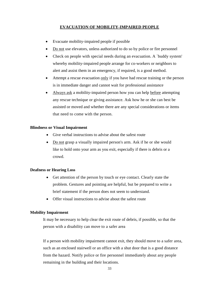#### **EVACUATION OF MOBILITY-IMPAIRED PEOPLE**

- Evacuate mobility-impaired people if possible
- Do not use elevators, unless authorized to do so by police or fire personnel
- Check on people with special needs during an evacuation. A `buddy system' whereby mobility-impaired people arrange for co-workers or neighbors to alert and assist them in an emergency, if required, is a good method.
- Attempt a rescue evacuation only if you have had rescue training or the person is in immediate danger and cannot wait for professional assistance
- Always ask a mobility-impaired person how you can help before attempting any rescue technique or giving assistance. Ask how he or she can best be assisted or moved and whether there are any special considerations or items that need to come with the person.

#### **Blindness or Visual Impairment**

- Give verbal instructions to advise about the safest route
- Do not grasp a visually impaired person's arm. Ask if he or she would like to hold onto your arm as you exit, especially if there is debris or a crowd.

#### **Deafness or Hearing Loss**

- Get attention of the person by touch or eye contact. Clearly state the problem. Gestures and pointing are helpful, but be prepared to write a brief statement if the person does not seem to understand.
- Offer visual instructions to advise about the safest route

#### **Mobility Impairment**

It may be necessary to help clear the exit route of debris, if possible, so that the person with a disability can move to a safer area

If a person with mobility impairment cannot exit, they should move to a safer area, such as an enclosed stairwell or an office with a shut door that is a good distance from the hazard. Notify police or fire personnel immediately about any people remaining in the building and their locations.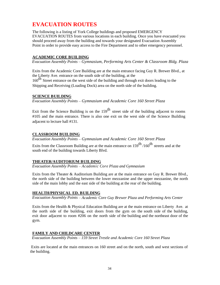# **EVACUATION ROUTES**

The following is a listing of York College buildings and proposed EMERGENCY EVACUATION ROUTES from various locations in each building. Once you have evacuated you should proceed away from the building and towards your designated Evacuation Assembly Point in order to provide easy access to the Fire Department and to other emergency personnel.

### **ACADEMIC CORE BUILDING**

*Evacuation Assembly Points – Gymnasium, Performing Arts Center & Classroom Bldg. Plaza*

Exits from the Academic Core Building are at the main entrance facing Guy R. Brewer Blvd., at the Liberty Ave. entrance on the south side of the building, at the

160<sup>th</sup> Street entrance on the west side of the building and through exit doors leading to the Shipping and Receiving (Loading Dock) area on the north side of the building.

## **SCIENCE BUILDING**

*Evacuation Assembly Points – Gymnasium and Academic Core 160 Street Plaza*

Exit from the Science Building is on the  $159<sup>th</sup>$  street side of the building adjacent to rooms #105 and the main entrance. There is also one exit on the west side of the Science Building adjacent to lecture hall #131.

## **CLASSROOM BUILDING**

*Evacuation Assembly Points – Gymnasium and Academic Core 160 Street Plaza*

Exits from the Classroom Building are at the main entrance on  $159^{\text{th}}$  /160<sup>th</sup> streets and at the south end of the building towards Liberty Blvd.

### **THEATER/AUDITORIUM BUILDING**

*Evacuation Assembly Points – Academic Core Plaza and Gymnasium* 

Exits from the Theater & Auditorium Building are at the main entrance on Guy R. Brewer Blvd., the north side of the building between the lower mezzanine and the upper mezzanine, the north side of the main lobby and the east side of the building at the rear of the building.

### **HEALTH/PHYSICAL ED. BUILDING**

*Evacuation Assembly Points – Academic Core Guy Brewer Plaza and Performing Arts Center*

Exits from the Health & Physical Education Building are at the main entrance on Liberty Ave. at the north side of the building, exit doors from the gym on the south side of the building, exit door adjacent to room #206 on the north side of the building and the northeast door of the gym.

### **FAMILY AND CHILDCARE CENTER**

*Evacuation Assembly Points – 159 Street Trestle and Academic Core 160 Street Plaza*

Exits are located at the main entrances on 160 street and on the north, south and west sections of the building.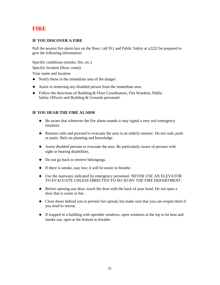# **FIRE**

### **IF YOU DISCOVER A FIRE**

Pull the nearest fire alarm box on the floor; call 911 and Public Safety at x2222 be prepared to give the following information:

Specific conditions (smoke, fire, etc.)

Specific location (floor, room)

Your name and location

- ♦ Notify those in the immediate area of the danger.
- ♦ Assist in removing any disabled person from the immediate area.
- ♦ Follow the directions of Building & Floor Coordinators, Fire Wardens, Public Safety Officers and Building & Grounds personnel.

### **IF YOU HEAR THE FIRE ALARM**

- ♦ Be aware that whenever the fire alarm sounds it may signal a very real emergency situation.
- ♦ Remain calm and proceed to evacuate the area in an orderly manner. Do not rush, push or panic. Rely on planning and knowledge.
- ♦ Assist disabled persons to evacuate the area. Be particularly aware of persons with sight or hearing disabilities.
- ♦ Do not go back to retrieve belongings.
- ♦ If there is smoke, stay low; it will be easier to breathe.
- ♦ Use the stairways indicated by emergency personnel. NEVER USE AN ELEVATOR TO EVACUATE UNLESS DIRECTED TO DO SO BY THE FIRE DEPARTMENT.
- $\blacklozenge$  Before opening any door, touch the door with the back of your hand. Do not open a door that is warm or hot.
- ♦ Close doors behind you to prevent fire spread, but make sure that you can reopen them if you need to retreat.
- ♦ If trapped in <sup>a</sup> building with operable windows, open windows at the top to let heat and smoke out, open at the bottom to breathe.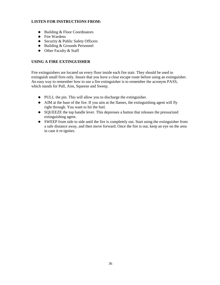#### **LISTEN FOR INSTRUCTIONS FROM:**

- ♦ Building & Floor Coordinators
- ◆ Fire Wardens
- ◆ Security & Public Safety Officers
- ♦ Building & Grounds Personnel
- ◆ Other Faculty & Staff

#### **USING A FIRE EXTINGUISHER**

Fire extinguishers are located on every floor inside each fire stair. They should be used to extinguish small fires only. Insure that you have a clear escape route before using an extinguisher. An easy way to remember how to use a fire extinguisher is to remember the acronym PASS, which stands for Pull, Aim, Squeeze and Sweep.

- ♦ PULL the pin. This will allow you to discharge the extinguisher.
- ♦ AIM at the base of the fire. If you aim at the flames, the extinguishing agent will fly right through. You want to hit the fuel.
- ♦ SQUEEZE the top handle lever. This depresses a button that releases the pressurized extinguishing agent.
- ♦ SWEEP from side to side until the fire is completely out. Start using the extinguisher from a safe distance away, and then move forward. Once the fire is out, keep an eye on the area in case it re-ignites.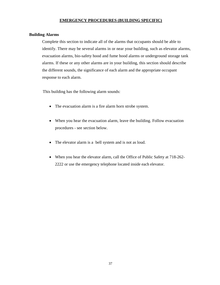## **EMERGENCY PROCEDURES (BUILDING SPECIFIC)**

### **Building Alarms**

Complete this section to indicate all of the alarms that occupants should be able to identify. There may be several alarms in or near your building, such as elevator alarms, evacuation alarms, bio-safety hood and fume hood alarms or underground storage tank alarms. If these or any other alarms are in your building, this section should describe the different sounds, the significance of each alarm and the appropriate occupant response to each alarm.

This building has the following alarm sounds:

- The evacuation alarm is a fire alarm horn strobe system.
- When you hear the evacuation alarm, leave the building. Follow evacuation procedures - see section below.
- The elevator alarm is a bell system and is not as loud.
- When you hear the elevator alarm, call the Office of Public Safety at 718-262- 2222 or use the emergency telephone located inside each elevator.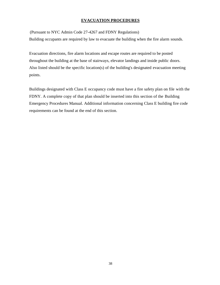# **EVACUATION PROCEDURES**

(Pursuant to NYC Admin Code 27-4267 and FDNY Regulations) Building occupants are required by law to evacuate the building when the fire alarm sounds.

Evacuation directions, fire alarm locations and escape routes are required to be posted throughout the building at the base of stairways, elevator landings and inside public doors. Also listed should be the specific location(s) of the building's designated evacuation meeting points.

Buildings designated with Class E occupancy code must have a fire safety plan on file with the FDNY. A complete copy of that plan should be inserted into this section of the Building Emergency Procedures Manual. Additional information concerning Class E building fire code requirements can be found at the end of this section.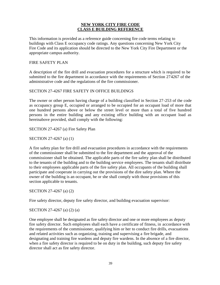## **NEW YORK CITY FIRE CODE CLASS E BUILDING REFERENCE**

This information is provided as a reference guide concerning fire code terms relating to buildings with Class E occupancy code ratings. Any questions concerning New York City Fire Code and its application should be directed to the New York City Fire Department or the appropriate campus authority.

#### FIRE SAFETY PLAN

A description of the fire drill and evacuation procedures for a structure which is required to be submitted to the fire department in accordance with the requirements of Section 274267 of the administrative code and the regulations of the fire commissioner.

#### SECTION 27-4267 FIRE SAFETY IN OFFICE BUILDINGS

The owner or other person having charge of a building classified in Section 27-253 of the code as occupancy group E, occupied or arranged to be occupied for an occupant load of more that one hundred persons above or below the street level or more than a total of five hundred persons in the entire building and any existing office building with an occupant load as hereinabove provided, shall comply with the following:

#### SECTION 27-4267 (a) Fire Safety Plan

SECTION 27-4267 (a) (1)

A fire safety plan for fire drill and evacuation procedures in accordance with the requirements of the commissioner shall be submitted to the fire department and the approval of the commissioner shall be obtained. The applicable parts of the fire safety plan shall be distributed to the tenants of the building and to the building service employees. The tenants shall distribute to their employees applicable parts of the fire safety plan. All occupants of the building shall participate and cooperate in carrying out the provisions of the dire safety plan. Where the owner of the building is an occupant, he or she shall comply with those provisions of this section applicable to tenants.

SECTION 27-4267 (a) (2)

Fire safety director, deputy fire safety director, and building evacuation supervisor:

#### SECTION 27-4267 (a) (2) (a)

One employee shall be designated as fire safety director and one or more employees as deputy fire safety director. Such employees shall each have a certificate of fitness, in accordance with the requirements of the commissioner, qualifying him or her to conduct fire drills, evacuations and related activities such as organizing, training and supervising a fire brigade, and designating and training fire wardens and deputy fire wardens. In the absence of a fire director, when a fire safety director is required to be on duty in the building, such deputy fire safety director shall act as fire safety director.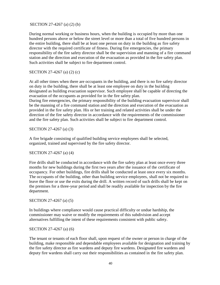#### SECTION 27-4267 (a) (2) (b)

During normal working or business hours, when the building is occupied by more than one hundred persons above or below the street level or more than a total of five hundred persons in the entire building, there shall be at least one person on duty in the building as fire safety director with the required certificate of fitness. During fire emergencies, the primary responsibility of the fire safety director shall be the supervision and manning of a fire command station and the direction and execution of the evacuation as provided in the fire safety plan. Such activities shall be subject to fire department control.

#### SECTION 27-4267 (a) (2) (c)

At all other times when there are occupants in the building, and there is no fire safety director on duty in the building, there shall be at least one employee on duty in the building designated as building evacuation supervisor. Such employee shall be capable of directing the evacuation of the occupants as provided for in the fire safety plan. During fire emergencies, the primary responsibility of the building evacuation supervisor shall be the manning of a fire command station and the direction and execution of the evacuation as provided in the fire safety plan. His or her training and related activities shall be under the direction of the fire safety director in accordance with the requirements of the commissioner

SECTION 27-4267 (a) (3)

A fire brigade consisting of qualified building service employees shall be selected, organized, trained and supervised by the fire safety director.

and the fire safety plan. Such activities shall be subject to fire department control.

#### SECTION 27-4267 (a) (4)

Fire drills shall be conducted in accordance with the fire safety plan at least once every three months for new buildings during the first two years after the issuance of the certificate of occupancy. For other buildings, fire drills shall be conducted at least once every six months. The occupants of the building, other than building service employees, shall not be required to leave the floor or use the exits during the drill. A written record of such drills shall be kept on the premises for a three-year period and shall be readily available for inspection by the fire department.

#### SECTION 27-4267 (a) (5)

In buildings where compliance would cause practical difficulty or undue hardship, the commissioner may waive or modify the requirements of this subdivision and accept alternatives fulfilling the intent of these requirements consistent with public safety.

#### SECTION 27-4267 (a) (6)

The tenant or tenants of each floor shall, upon request of the owner or person in charge of the building, make responsible and dependable employees available for designation and training by the fire safety director as fire wardens and deputy fire wardens. Designated fire wardens and deputy fire wardens shall carry out their responsibilities as contained in the fire safety plan.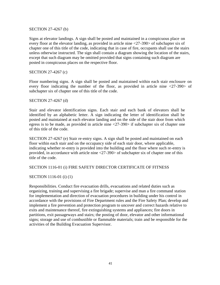#### SECTION 27-4267 (b)

Signs at elevator landings. A sign shall be posted and maintained in a conspicuous place on every floor at the elevator landing, as provided in article nine <27-390> of subchapter six of chapter one of this title of the code, indicating that in case of fire, occupants shall use the stairs unless otherwise instructed. The sign shall contain a diagram showing the location of the stairs, except that such diagram may be omitted provided that signs containing such diagram are posted in conspicuous places on the respective floor.

#### SECTION 27-4267 (c)

Floor numbering signs. A sign shall be posted and maintained within each stair enclosure on every floor indicating the number of the floor, as provided in article nine <27-390> of subchapter six of chapter one of this title of the code.

#### SECTION 27-4267 (d)

Stair and elevator identification signs. Each stair and each bank of elevators shall be identified by an alphabetic letter. A sign indicating the letter of identification shall be posted and maintained at each elevator landing and on the side of the stair door from which egress is to be made, as provided in article nine <27-390> if subchapter six of chapter one of this title of the code.

SECTION 27-4267 (e) Stair re-entry signs. A sign shall be posted and maintained on each floor within each stair and on the occupancy side of each stair door, where applicable, indicating whether re-entry is provided into the building and the floor where such re-entry is provided, in accordance with article nine <27-390> of subchapter six of chapter one of this title of the code.

## SECTION 1116-01 (i) FIRE SAFETY DIRECTOR CERTIFICATE OF FITNESS

## SECTION 1116-01 (i) (1)

Responsibilities. Conduct fire evacuation drills, evacuations and related duties such as organizing, training and supervising a fire brigade; supervise and man a fire command station for implementation and direction of evacuation procedures in building under his control in accordance with the provisions of Fire Department rules and the Fire Safety Plan; develop and implement a fire prevention and protection program to uncover and correct hazards relative to exits and maintenance thereof, fire extinguishing systems and appliances; fire doors in partitions, exit passageways and stairs; the posting of door, elevator and other informational signs; storage and use of combustible or flammable materials; train and be responsible for the activities of the Building Evacuation Supervisor.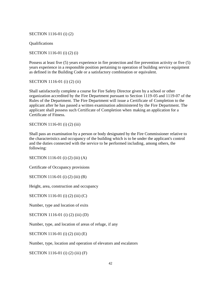SECTION 1116-01 (i) (2)

Qualifications

SECTION 1116-01 (i) (2) (i)

Possess at least five (5) years experience in fire protection and fire prevention activity or five (5) years experience in a responsible position pertaining to operation of building service equipment as defined in the Building Code or a satisfactory combination or equivalent.

SECTION 1116-01 (i) (2) (ii)

Shall satisfactorily complete a course for Fire Safety Director given by a school or other organization accredited by the Fire Department pursuant to Section 1119-05 and 1119-07 of the Rules of the Department. The Fire Department will issue a Certificate of Completion to the applicant after he has passed a written examination administered by the Fire Department. The applicant shall possess such Certificate of Completion when making an application for a Certificate of Fitness.

SECTION 1116-01 (i) (2) (iii)

Shall pass an examination by a person or body designated by the Fire Commissioner relative to the characteristics and occupancy of the building which is to be under the applicant's control and the duties connected with the service to be performed including, among others, the following:

SECTION 1116-01 (i) (2) (iii) (A)

Certificate of Occupancy provisions

SECTION 1116-01 (i) (2) (iii) (B)

Height, area, construction and occupancy

SECTION 1116-01 (i) (2) (iii) (C)

Number, type and location of exits

SECTION 1116-01 (i) (2) (iii) (D)

Number, type, and location of areas of refuge, if any

SECTION 1116-01 (i) (2) (iii) (E)

Number, type, location and operation of elevators and escalators

SECTION 1116-01 (i) (2) (iii) (F)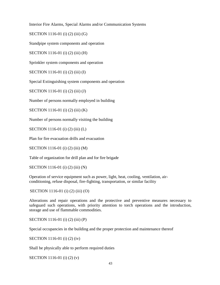Interior Fire Alarms, Special Alarms and/or Communication Systems

SECTION 1116-01 (i) (2) (iii) (G)

Standpipe system components and operation

SECTION 1116-01 (i) (2) (iii) (H)

Sprinkler system components and operation

SECTION 1116-01 (i) (2) (iii) (I)

Special Extinguishing system components and operation

SECTION 1116-01 (i) (2) (iii) (J)

Number of persons normally employed in building

SECTION 1116-01 (i) (2) (iii) (K)

Number of persons normally visiting the building

SECTION 1116-01 (i) (2) (iii) (L)

Plan for fire evacuation drills and evacuation

SECTION 1116-01 (i) (2) (iii) (M)

Table of organization for drill plan and for fire brigade

SECTION 1116-01 (i) (2) (iii) (N)

Operation of service equipment such as power, light, heat, cooling, ventilation, airconditioning, refuse disposal, fire-fighting, transportation, or similar facility

SECTION 1116-01 (i) (2) (iii) (O)

Alterations and repair operations and the protective and preventive measures necessary to safeguard such operations, with priority attention to torch operations and the introduction, storage and use of flammable commodities.

SECTION 1116-01 (i) (2) (iii) (P)

Special occupancies in the building and the proper protection and maintenance thereof

SECTION 1116-01 (i) (2) (iv)

Shall be physically able to perform required duties

SECTION 1116-01 (i) (2) (v)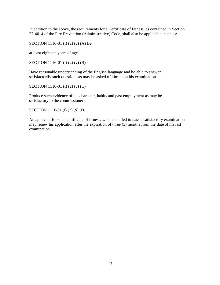In addition to the above, the requirements for a Certificate of Fitness, as contained in Section 27-4014 of the Fire Prevention (Administrative) Code, shall also be applicable, such as:

SECTION 1116-01 (i) (2) (v) (A) Be

at least eighteen years of age

SECTION 1116-01 (i) (2) (v) (B)

Have reasonable understanding of the English language and be able to answer satisfactorily such questions as may be asked of him upon his examination

SECTION 1116-01 (i) (2) (v) (C)

Produce such evidence of his character, habits and past employment as may be satisfactory to the commissioner

SECTION 1116-01 (i) (2) (v) (D)

An applicant for such certificate of fitness, who has failed to pass a satisfactory examination may renew his application after the expiration of three (3) months from the date of his last examination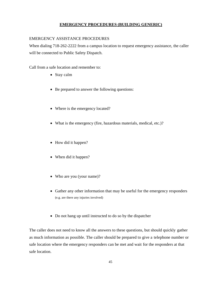## **EMERGENCY PROCEDURES (BUILDING GENERIC)**

#### EMERGENCY ASSISTANCE PROCEDURES

When dialing 718-262-2222 from a campus location to request emergency assistance, the caller will be connected to Public Safety Dispatch.

Call from a safe location and remember to:

- Stay calm
- Be prepared to answer the following questions:
- Where is the emergency located?
- What is the emergency (fire, hazardous materials, medical, etc.)?
- How did it happen?
- When did it happen?
- Who are you (your name)?
- Gather any other information that may be useful for the emergency responders (e.g. are there any injuries involved)
- Do not hang up until instructed to do so by the dispatcher

The caller does not need to know all the answers to these questions, but should quickly gather as much information as possible. The caller should be prepared to give a telephone number or safe location where the emergency responders can be met and wait for the responders at that safe location.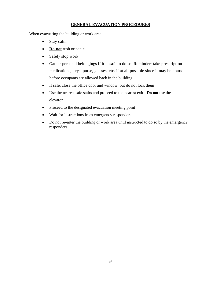## **GENERAL EVACUATION PROCEDURES**

When evacuating the building or work area:

- Stay calm
- **Do not** rush or panic
- Safely stop work
- Gather personal belongings if it is safe to do so. Reminder: take prescription medications, keys, purse, glasses, etc. if at all possible since it may be hours before occupants are allowed back in the building
- If safe, close the office door and window, but do not lock them
- Use the nearest safe stairs and proceed to the nearest exit **Do not** use the elevator
- Proceed to the designated evacuation meeting point
- Wait for instructions from emergency responders
- Do not re-enter the building or work area until instructed to do so by the emergency responders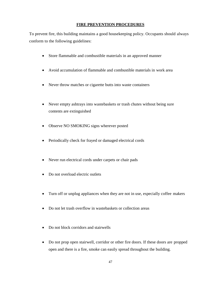## **FIRE PREVENTION PROCEDURES**

To prevent fire, this building maintains a good housekeeping policy. Occupants should always conform to the following guidelines:

- Store flammable and combustible materials in an approved manner
- Avoid accumulation of flammable and combustible materials in work area
- Never throw matches or cigarette butts into waste containers
- Never empty ashtrays into wastebaskets or trash chutes without being sure contents are extinguished
- Observe NO SMOKING signs wherever posted
- Periodically check for frayed or damaged electrical cords
- Never run electrical cords under carpets or chair pads
- Do not overload electric outlets
- Turn off or unplug appliances when they are not in use, especially coffee makers
- Do not let trash overflow in wastebaskets or collection areas
- Do not block corridors and stairwells
- Do not prop open stairwell, corridor or other fire doors. If these doors are propped open and there is a fire, smoke can easily spread throughout the building.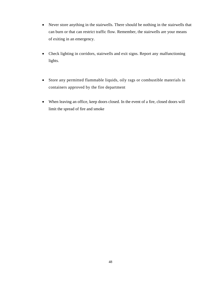- Never store anything in the stairwells. There should be nothing in the stairwells that can burn or that can restrict traffic flow. Remember, the stairwells are your means of exiting in an emergency.
- Check lighting in corridors, stairwells and exit signs. Report any malfunctioning lights.
- Store any permitted flammable liquids, oily rags or combustible materials in containers approved by the fire department
- When leaving an office, keep doors closed. In the event of a fire, closed doors will limit the spread of fire and smoke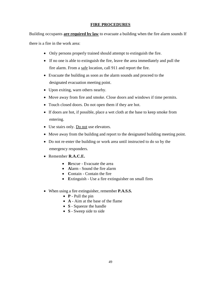## **FIRE PROCEDURES**

Building occupants **are required by law** to evacuate a building when the fire alarm sounds If there is a fire in the work area:

- Only persons properly trained should attempt to extinguish the fire.
- If no one is able to extinguish the fire, leave the area immediately and pull the fire alarm. From a safe location, call 911 and report the fire.
- Evacuate the building as soon as the alarm sounds and proceed to the designated evacuation meeting point.
- Upon exiting, warn others nearby.
- Move away from fire and smoke. Close doors and windows if time permits.
- Touch closed doors. Do not open them if they are hot.
- If doors are hot, if possible, place a wet cloth at the base to keep smoke from entering.
- Use stairs only. Do not use elevators.
- Move away from the building and report to the designated building meeting point.
- Do not re-enter the building or work area until instructed to do so by the emergency responders.
- Remember **R.A.C.E.**
	- **Rescue Evacuate the area**
	- **Alarm Sound the fire alarm**
	- Contain Contain the fire
	- **E**xtinguish Use a fire extinguisher on small fires
- When using a fire extinguisher, remember **P.A.S.S.**
	- **P** Pull the pin
	- **A** Aim at the base of the flame
	- **S** Squeeze the handle
	- **S** Sweep side to side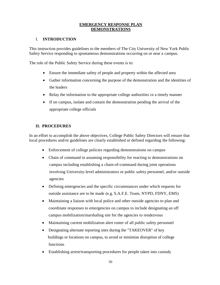## **EMERGENCY RESPONSE PLAN DEMONSTRATIONS**

# I. **INTRODUCTION**

This instruction provides guidelines to the members of The City University of New York Public Safety Service responding to spontaneous demonstrations occurring on or near a campus.

The role of the Public Safety Service during these events is to:

- Ensure the immediate safety of people and property within the affected area
- Gather information concerning the purpose of the demonstration and the identities of the leaders
- Relay the information to the appropriate college authorities in a timely manner
- If on campus, isolate and contain the demonstration pending the arrival of the appropriate college officials

# **II. PROCEDURES**

In an effort to accomplish the above objectives, College Public Safety Directors will ensure that local procedures and/or guidelines are clearly established or defined regarding the following:

- Enforcement of college policies regarding demonstrations on campus
- Chain of command in assuming responsibility for reacting to demonstrations on campus including establishing a chain-of-command during joint operations involving University-level administrators or public safety personnel, and/or outside agencies
- Defining emergencies and the specific circumstances under which requests for outside assistance are to be made (e.g. S.A.F.E. Team, NYPD, FDNY, EMS)
- Maintaining a liaison with local police and other outside agencies to plan and coordinate responses to emergencies on campus to include designating an off campus mobilization/marshaling site for the agencies to rendezvous
- Maintaining current mobilization alert roster of all public safety personnel
- Designating alternate reporting sites during the "TAKEOVER" of key buildings or locations on campus, to avoid or minimize disruption of college functions
- Establishing arrest/transporting procedures for people taken into custody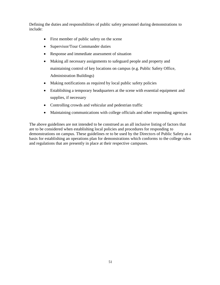Defining the duties and responsibilities of public safety personnel during demonstrations to include:

- First member of public safety on the scene
- Supervisor/Tour Commander duties
- Response and immediate assessment of situation
- Making all necessary assignments to safeguard people and property and maintaining control of key locations on campus (e.g. Public Safety Office, Administration Buildings)
- Making notifications as required by local public safety policies
- Establishing a temporary headquarters at the scene with essential equipment and supplies, if necessary
- Controlling crowds and vehicular and pedestrian traffic
- Maintaining communications with college officials and other responding agencies

The above guidelines are not intended to be construed as an all inclusive listing of factors that are to be considered when establishing local policies and procedures for responding to demonstrations on campus. These guidelines re to be used by the Directors of Public Safety as a basis for establishing an operations plan for demonstrations which conforms to the college rules and regulations that are presently in place at their respective campuses.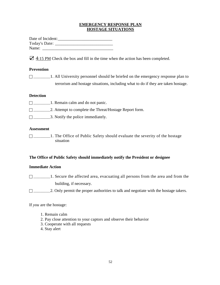### **EMERGENCY RESPONSE PLAN HOSTAGE SITUATIONS**

Date of Incident:\_\_\_\_\_\_\_\_\_\_\_\_\_\_\_\_\_\_\_\_\_\_\_\_\_\_ Today's Date: \_\_\_\_\_\_\_\_\_\_\_\_\_\_\_\_\_\_\_\_\_\_\_\_\_\_\_\_ Name: \_\_\_\_\_\_\_\_\_\_\_\_\_\_\_\_\_\_\_\_\_\_\_\_\_\_\_\_\_\_\_\_\_\_

 $\mathbf{\nabla}$  4:15 PM Check the box and fill in the time when the action has been completed.

# **Prevention**

□ \_\_\_\_\_\_\_\_\_1. All University personnel should be briefed on the emergency response plan to terrorism and hostage situations, including what to do if they are taken hostage.

## **Detection**

- $\Box$ \_\_\_\_\_\_\_\_\_\_\_\_1. Remain calm and do not panic.
- \_\_\_\_\_\_\_\_\_\_2. Attempt to complete the Threat/Hostage Report form.
- $\Box$  3. Notify the police immediately.

## **Assessment**

 \_\_\_\_\_\_\_\_\_\_1. The Office of Public Safety should evaluate the severity of the hostage situation

## **The Office of Public Safety should immediately notify the President or designee**

# **Immediate Action**

- $\Box$ \_\_\_\_\_\_\_\_\_1. Secure the affected area, evacuating all persons from the area and from the building, if necessary.
- $\Box$  2. Only permit the proper authorities to talk and negotiate with the hostage takers.

If *you* are the hostage:

- 1. Remain calm
- 2. Pay close attention to your captors and observe their behavior
- 3. Cooperate with all requests
- 4. Stay alert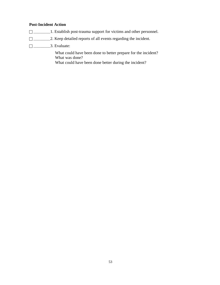# **Post-Incident Action**

- \_\_\_\_\_\_\_\_\_\_1. Establish post-trauma support for victims and other personnel.
- \_\_\_\_\_\_\_\_\_\_2. Keep detailed reports of all events regarding the incident.
- \_\_\_\_\_\_\_\_\_\_3. Evaluate:

What could have been done to better prepare for the incident? What was done?

What could have been done better during the incident?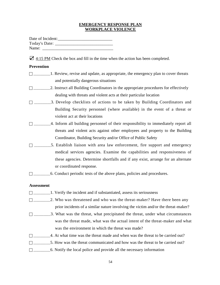### **EMERGENCY RESPONSE PLAN WORKPLACE VIOLENCE**

| Date of Incident: |  |
|-------------------|--|
| Today's Date:     |  |
| Name:             |  |

 $\mathbf{\nabla}$  4:15 PM Check the box and fill in the time when the action has been completed.

## **Prevention**

- $\Box$ \_\_\_\_\_\_\_\_\_\_\_1. Review, revise and update, as appropriate, the emergency plan to cover threats and potentially dangerous situations
- \_\_\_\_\_\_\_\_\_\_2. Instruct all Building Coordinators in the appropriate procedures for effectively dealing with threats and violent acts at their particular location
- \_\_\_\_\_\_\_\_\_\_3. Develop checklists of actions to be taken by Building Coordinators and Building Security personnel (where available) in the event of a threat or violent act at their locations
- $\Box$  4. Inform all building personnel of their responsibility to immediately report all threats and violent acts against other employees and property to the Building Coordinator, Building Security and/or Office of Public Safety
- $\Box$  \_\_\_\_\_\_\_\_\_\_5. Establish liaison with area law enforcement, fire support and emergency medical services agencies. Examine the capabilities and responsiveness of these agencies. Determine shortfalls and if any exist, arrange for an alternate or coordinated response.
- \_\_\_\_\_\_\_\_\_\_6. Conduct periodic tests of the above plans, policies and procedures.

#### **Assessment**

- \_\_\_\_\_\_\_\_\_\_1. Verify the incident and if substantiated, assess its seriousness
- □ \_\_\_\_\_\_\_\_\_\_\_\_\_2. Who was threatened and who was the threat-maker? Have there been any prior incidents of a similar nature involving the victim and/or the threat-maker?
- $\Box$  3. What was the threat, what precipitated the threat, under what circumstances was the threat made, what was the actual intent of the threat-maker and what was the environment in which the threat was made?
- $\Box$  4. At what time was the threat made and when was the threat to be carried out?
- \_\_\_\_\_\_\_\_\_\_5. How was the threat communicated and how was the threat to be carried out?
- $\Box$  6. Notify the local police and provide all the necessary information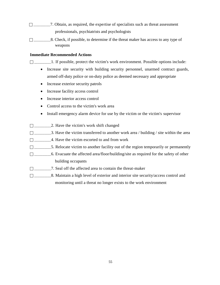- \_\_\_\_\_\_\_\_\_\_7. Obtain, as required, the expertise of specialists such as threat assessment professionals, psychiatrists and psychologists
- \_\_\_\_\_\_\_\_\_\_8. Check, if possible, to determine if the threat maker has access to any type of weapons

## **Immediate Recommended Actions**

\_\_\_\_\_\_\_\_\_\_1. If possible, protect the victim's work environment. Possible options include:

- Increase site security with building security personnel, unarmed contract guards, armed off-duty police or on-duty police as deemed necessary and appropriate
- Increase exterior security patrols
- Increase facility access control
- Increase interior access control
- Control access to the victim's work area
- Install emergency alarm device for use by the victim or the victim's supervisor
- □ \_\_\_\_\_\_\_\_\_\_\_\_\_\_\_2. Have the victim's work shift changed
- $\Box$ \_\_\_\_\_\_\_\_\_\_\_\_\_\_\_\_\_\_\_3. Have the victim transferred to another work area / building / site within the area
- $\Box$  4. Have the victim escorted to and from work
- $\Box$ \_\_\_\_\_\_\_\_\_\_\_\_5. Relocate victim to another facility out of the region temporarily or permanently
- \_\_\_\_\_\_\_\_\_\_6. Evacuate the affected area/floor/building/site as required for the safety of other building occupants
- \_\_\_\_\_\_\_\_\_\_7. Seal off the affected area to contain the threat-maker
- \_\_\_\_\_\_\_\_\_\_8. Maintain a high level of exterior and interior site security/access control and monitoring until a threat no longer exists to the work environment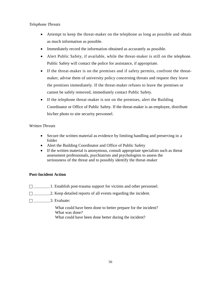# *Telephone Threats*

- Attempt to keep the threat-maker on the telephone as long as possible and obtain as much information as possible.
- Immediately record the information obtained as accurately as possible.
- Alert Public Safety, if available, while the threat-maker is still on the telephone. Public Safety will contact the police for assistance, if appropriate.
- If the threat-maker is on the premises and if safety permits, confront the threatmaker, advise them of university policy concerning threats and request they leave the premises immediately. If the threat-maker refuses to leave the premises or cannot be safely removed, immediately contact Public Safety.
- If the telephone threat-maker is not on the premises, alert the Building Coordinator or Office of Public Safety. If the threat-maker is an employee, distribute his/her photo to site security personnel.

# *Written Threats*

- Secure the written material as evidence by limiting handling and preserving in a folder
- Alert the Building Coordinator and Office of Public Safety
- If the written material is anonymous, consult appropriate specialists such as threat assessment professionals, psychiatrists and psychologists to assess the seriousness of the threat and to possibly identify the threat-maker

# **Post-Incident Action**

- $\Box$  1. Establish post-trauma support for victims and other personnel.
- □ \_\_\_\_\_\_\_\_\_\_\_2. Keep detailed reports of all events regarding the incident.
- $\square$  3. Evaluate:

What could have been done to better prepare for the incident? What was done?

What could have been done better during the incident?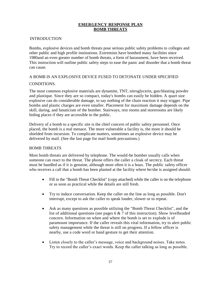## **EMERGENCY RESPONSE PLAN BOMB THREATS**

#### INTRODUCTION

Bombs, explosive devices and bomb threats pose serious public safety problems to colleges and other public and high profile institutions. Extremists have bombed many facilities since 1980and an even greater number of bomb threats, a form of harassment, have been received. This instruction will outline public safety steps to ease the panic and disorder that a bomb threat can cause.

## A BOMB IS AN EXPLOSIVE DEVICE FUSED TO DETONATE UNDER SPECIFIED

## CONDITIONS.

The most common explosive materials are dynamite, TNT, nitroglycerin, gun/blasting powder and plastique. Since they are so compact, today's bombs can easily be hidden. A quart size explosive can do considerable damage, to say nothing of the chain reaction it may trigger. Pipe bombs and plastic charges are even smaller. Placement for maximum damage depends on the skill, daring, and fanaticism of the bomber. Stairways, rest rooms and storerooms are likely hiding places if they are accessible to the public.

Delivery of a bomb to a specific site is the chief concern of public safety personnel. Once placed, the bomb is a real menace. The more vulnerable a facility is, the more it should be shielded from incursion. To complicate matters, sometimes an explosive device may be delivered by mail. (See the last page for mail bomb precautions.)

## BOMB THREATS

Most bomb threats are delivered by telephone. The would-be bomber usually calls when someone can react to the threat. The phone offers the caller a cloak of secrecy. Each threat must be handled as if it is genuine, although most often it is a hoax. The public safety officer who receives a call that a bomb has been planted at the facility where he/she is assigned should:

- Fill in the "Bomb Threat Checklist" (copy attached) while the caller is on the telephone or as soon as practical while the details are still fresh.
- Try to induce conversation. Keep the caller on the line as long as possible. Don't interrupt, except to ask the caller to speak louder, slower or to repeat.
- Ask as many questions as possible utilizing the "Bomb Threat Checklist", and the list of additional questions (see pages 6 & 7 of this instruction). Show levelheaded concern. Information on when and where the bomb is set to explode is of paramount importance. If the caller reveals this vital information, try to alert public safety management while the threat is still on progress. If a fellow officer is nearby, use a code word or hand gesture to get their attention.
- Listen closely to the caller's message, voice and background noises. Take notes. Try to record the caller's exact words. Keep the caller talking as long as possible.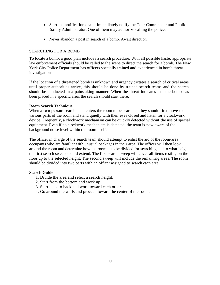- Start the notification chain. Immediately notify the Tour Commander and Public Safety Administrator. One of them may authorize calling the police.
- Never abandon a post in search of a bomb. Await direction.

## SEARCHING FOR A BOMB

To locate a bomb, a good plan includes a search procedure. With all possible haste, appropriate law enforcement officials should be called to the scene to direct the search for a bomb. The New York City Police Department has officers specially trained and experienced in bomb threat investigations.

If the location of a threatened bomb is unknown and urgency dictates a search of critical areas until proper authorities arrive, this should be done by trained search teams and the search should be conducted in a painstaking manner. When the threat indicates that the bomb has been placed in a specific area, the search should start there.

#### **Room Search Technique**

When a **two-person** search team enters the room to be searched, they should first move to various parts of the room and stand quietly with their eyes closed and listen for a clockwork device. Frequently, a clockwork mechanism can be quickly detected without the use of special equipment. Even if no clockwork mechanism is detected, the team is now aware of the background noise level within the room itself.

The officer in charge of the search team should attempt to enlist the aid of the room/area occupants who are familiar with unusual packages in their area. The officer will then look around the room and determine how the room is to be divided for searching and to what height the first search sweep should extend. The first search sweep will cover all items resting on the floor up to the selected height. The second sweep will include the remaining areas. The room should be divided into two parts with an officer assigned to search each area.

#### **Search Guide**

- 1. Divide the area and select a search height.
- 2. Start from the bottom and work up.
- 3. Start back to back and work toward each other.
- 4. Go around the walls and proceed toward the center of the room.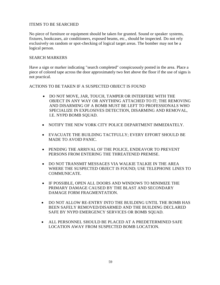## ITEMS TO BE SEARCHED

No piece of furniture or equipment should be taken for granted. Sound or speaker systems, fixtures, bookcases, air conditioners, exposed beams, etc., should be inspected. Do not rely exclusively on random or spot-checking of logical target areas. The bomber may not be a logical person.

### SEARCH MARKERS

Have a sign or marker indicating "search completed" conspicuously posted in the area. Place a piece of colored tape across the door approximately two feet above the floor if the use of signs is not practical.

ACTIONS TO BE TAKEN IF A SUSPECTED OBJECT IS FOUND

- DO NOT MOVE, JAR, TOUCH, TAMPER OR INTERFERE WITH THE OBJECT IN ANY WAY OR ANYTHING ATTACHED TO IT; THE REMOVING AND DISARMING OF A BOMB MUST BE LEFT TO PROFESSIONALS WHO SPECIALIZE IN EXPLOSIVES DETECTION, DISARMING AND REMOVAL, I.E. NYPD BOMB SQUAD.
- NOTIFY THE NEW YORK CITY POLICE DEPARTMENT IMMEDIATELY.
- EVACUATE THE BUILDING TACTFULLY; EVERY EFFORT SHOULD BE MADE TO AVOID PANIC.
- PENDING THE ARRIVAL OF THE POLICE, ENDEAVOR TO PREVENT PERSONS FROM ENTERING THE THREATENED PREMISE.
- DO NOT TRANSMIT MESSAGES VIA WALKIE TALKIE IN THE AREA WHERE THE SUSPECTED OBJECT IS FOUND; USE TELEPHONE LINES TO COMMUNICATE.
- IF POSSIBLE, OPEN ALL DOORS AND WINDOWS TO MINIMIZE THE PRIMARY DAMAGE CAUSED BY THE BLAST AND SECONDARY DAMAGE FORM FRAGMENTATION.
- DO NOT ALLOW RE-ENTRY INTO THE BUILDING UNTIL THE BOMB HAS BEEN SAFELY REMOVED/DISARMED AND THE BUILDING DECLARED SAFE BY NYPD EMERGENCY SERVICES OR BOMB SQUAD.
- ALL PERSONNEL SHOULD BE PLACED AT A PREDETERMINED SAFE LOCATION AWAY FROM SUSPECTED BOMB LOCATION.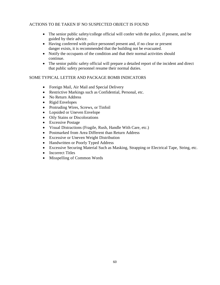# ACTIONS TO BE TAKEN IF NO SUSPECTED OBJECT IS FOUND

- The senior public safety/college official will confer with the police, if present, and be guided by their advice.
- Having conferred with police personnel present and, if no clear or present danger exists, it is recommended that the building not be evacuated.
- Notify the occupants of the condition and that their normal activities should continue.
- The senior public safety official will prepare a detailed report of the incident and direct that public safety personnel resume their normal duties.

# SOME TYPICAL LETTER AND PACKAGE BOMB INDICATORS

- Foreign Mail, Air Mail and Special Delivery
- Restrictive Markings such as Confidential, Personal, etc.
- No Return Address
- Rigid Envelopes
- Protruding Wires, Screws, or Tinfoil
- Lopsided or Uneven Envelope
- Oily Stains or Discolorations
- Excessive Postage
- Visual Distractions (Fragile, Rush, Handle With Care, etc.)
- Postmarked from Area Different than Return Address
- Excessive or Uneven Weight Distribution
- Handwritten or Poorly Typed Address
- Excessive Securing Material Such as Masking, Strapping or Electrical Tape, String, etc.
- Incorrect Titles
- Misspelling of Common Words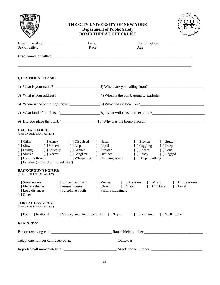|                                                                                                                                                                                                                 | THE CITY UNIVERSITY OF NEW YORK<br><b>Department of Public Safety</b><br><b>BOMB THREAT CHECKLIST</b> | UNIVERSITY OF                                                                                  |
|-----------------------------------------------------------------------------------------------------------------------------------------------------------------------------------------------------------------|-------------------------------------------------------------------------------------------------------|------------------------------------------------------------------------------------------------|
|                                                                                                                                                                                                                 |                                                                                                       |                                                                                                |
|                                                                                                                                                                                                                 |                                                                                                       |                                                                                                |
| <b>QUESTIONS TO ASK:</b>                                                                                                                                                                                        |                                                                                                       |                                                                                                |
|                                                                                                                                                                                                                 |                                                                                                       |                                                                                                |
|                                                                                                                                                                                                                 |                                                                                                       |                                                                                                |
|                                                                                                                                                                                                                 |                                                                                                       |                                                                                                |
|                                                                                                                                                                                                                 |                                                                                                       |                                                                                                |
|                                                                                                                                                                                                                 |                                                                                                       |                                                                                                |
| <b>CALLER'S VOICE:</b><br>(CHECK ALL THAT APPLY)                                                                                                                                                                |                                                                                                       |                                                                                                |
| [] Calm [] Angry [] Disguised [] Nasal<br>[ ] Slow [ ] Sincere [ ] Lisp [ ] Rapid<br>[ ] Crying [ ] Squeaky [ ] Excited [ ] Stressed<br>[ ] Slurred [ ] Normal [ ] Laughter [ ] Distinct<br>[ ] Clearing throat | [ ] Whispering [ ] Cracking voice [ ] Deep breathing                                                  | [ ] Broken [ ] Stutter<br>[ ] Giggling [ ] Deep<br>[ ] Accent [ ] Loud<br>[ ] Raspy [ ] Ragged |
| <b>BACKGROUND NOISES:</b><br>(CHECK ALL THAT APPLY)                                                                                                                                                             |                                                                                                       |                                                                                                |
| [ ] Motor vehicles [ ] Animal noises [ ] Clear [ ] Static [ ] Crockery [ ] Local<br>[ ] Long distances [ ] Telephone booth [ ] Factory machinery                                                                |                                                                                                       | [ ] Street noises [ ] Office machinery [ ] Voices [ ] PA system [ ] Music [ ] House noises     |
| <b>THREAT LANGUAGE:</b><br>(CHECK ALL THAT APPLY)                                                                                                                                                               |                                                                                                       |                                                                                                |
| [ ] Foul [ ] Irrational [ ] Message read by threat maker [ ] Taped [ ] Incoherent [ ] Well-spoken                                                                                                               |                                                                                                       |                                                                                                |
| <b>REMARKS:</b>                                                                                                                                                                                                 |                                                                                                       |                                                                                                |
|                                                                                                                                                                                                                 |                                                                                                       |                                                                                                |
|                                                                                                                                                                                                                 |                                                                                                       |                                                                                                |
|                                                                                                                                                                                                                 |                                                                                                       |                                                                                                |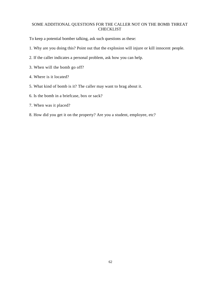# SOME ADDITIONAL QUESTIONS FOR THE CALLER NOT ON THE BOMB THREAT CHECKLIST

To keep a potential bomber talking, ask such questions as these:

- 1. Why are you doing this? Point out that the explosion will injure or kill innocent people.
- 2. If the caller indicates a personal problem, ask how you can help.
- 3. When will the bomb go off?
- 4. Where is it located?
- 5. What kind of bomb is it? The caller may want to brag about it.
- 6. Is the bomb in a briefcase, box or sack?
- 7. When was it placed?
- 8. How did you get it on the property? Are you a student, employee, etc?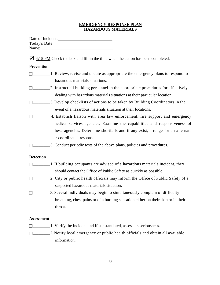### **EMERGENCY RESPONSE PLAN HAZARDOUS MATERIALS**

| Date of Incident: |  |
|-------------------|--|
| Today's Date:     |  |
| Name:             |  |

 $\mathbf{\nabla}$  4:15 PM Check the box and fill in the time when the action has been completed.

## **Prevention**

- □ \_\_\_\_\_\_\_\_1. Review, revise and update as appropriate the emergency plans to respond to hazardous materials situations.
- \_\_\_\_\_\_\_\_\_\_2. Instruct all building personnel in the appropriate procedures for effectively dealing with hazardous materials situations at their particular location.
- \_\_\_\_\_\_\_\_\_\_3. Develop checklists of actions to be taken by Building Coordinators in the event of a hazardous materials situation at their locations.
- $\Box$  \_\_\_\_\_\_\_\_\_\_4. Establish liaison with area law enforcement, fire support and emergency medical services agencies. Examine the capabilities and responsiveness of these agencies. Determine shortfalls and if any exist, arrange for an alternate or coordinated response.
- \_\_\_\_\_\_\_\_\_\_5. Conduct periodic tests of the above plans, policies and procedures.

## **Detection**

- $\Box$ \_\_\_\_\_\_\_\_1. If building occupants are advised of a hazardous materials incident, they should contact the Office of Public Safety as quickly as possible.
- $\Box$  2. City or public health officials may inform the Office of Public Safety of a suspected hazardous materials situation.
- $\Box$ \_\_\_\_\_\_\_\_\_\_\_\_\_3. Several individuals may begin to simultaneously complain of difficulty breathing, chest pains or of a burning sensation either on their skin or in their throat.

#### **Assessment**

- $\Box$  1. Verify the incident and if substantiated, assess its seriousness.
- \_\_\_\_\_\_\_\_\_\_2. Notify local emergency or public health officials and obtain all available information.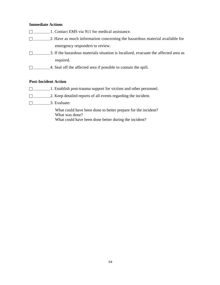### **Immediate Actions**

- \_\_\_\_\_\_\_\_\_\_1. Contact EMS via 911 for medical assistance.
- \_\_\_\_\_\_\_\_\_\_2. Have as much information concerning the hazardous material available for emergency responders to review.
- \_\_\_\_\_\_\_\_\_\_3. If the hazardous materials situation is localized, evacuate the affected area as required.
- $\Box$  4. Seal off the affected area if possible to contain the spill.

# **Post-Incident Action**

- \_\_\_\_\_\_\_\_\_\_1. Establish post-trauma support for victims and other personnel.
- \_\_\_\_\_\_\_\_\_\_2. Keep detailed reports of all events regarding the incident.
- \_\_\_\_\_\_\_\_\_\_3. Evaluate:

What could have been done to better prepare for the incident? What was done? What could have been done better during the incident?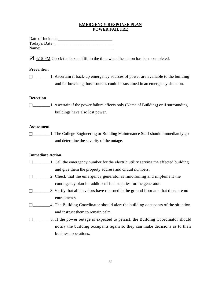### **EMERGENCY RESPONSE PLAN POWER FAILURE**

Date of Incident:\_\_\_\_\_\_\_\_\_\_\_\_\_\_\_\_\_\_\_\_\_\_\_\_\_\_ Today's Date: \_\_\_\_\_\_\_\_\_\_\_\_\_\_\_\_\_\_\_\_\_\_\_\_\_\_\_\_ Name:

 $\mathbf{\nabla}$  4:15 PM Check the box and fill in the time when the action has been completed.

# **Prevention**

 $\Box$ \_\_\_\_\_\_\_\_\_\_1. Ascertain if back-up emergency sources of power are available to the building and for how long those sources could be sustained in an emergency situation.

## **Detection**

 \_\_\_\_\_\_\_\_\_\_1. Ascertain if the power failure affects only (Name of Building) or if surrounding buildings have also lost power.

#### **Assessment**

 \_\_\_\_\_\_\_\_\_\_1. The College Engineering or Building Maintenance Staff should immediately go and determine the severity of the outage.

## **Immediate Action**

- $\Box$ \_\_\_\_\_\_\_\_\_\_1. Call the emergency number for the electric utility serving the affected building and give them the property address and circuit numbers.
- $\Box$  2. Check that the emergency generator is functioning and implement the contingency plan for additional fuel supplies for the generator.
- \_\_\_\_\_\_\_\_\_\_3. Verify that all elevators have returned to the ground floor and that there are no entrapments.
- $\Box$  4. The Building Coordinator should alert the building occupants of the situation and instruct them to remain calm.
- \_\_\_\_\_\_\_\_\_\_5. If the power outage is expected to persist, the Building Coordinator should notify the building occupants again so they can make decisions as to their business operations.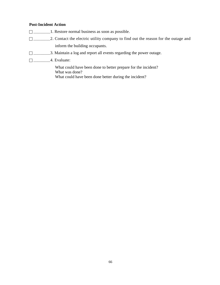# **Post-Incident Action**

- \_\_\_\_\_\_\_\_\_\_1. Restore normal business as soon as possible.
- \_\_\_\_\_\_\_\_\_\_2. Contact the electric utility company to find out the reason for the outage and inform the building occupants.
- \_\_\_\_\_\_\_\_\_\_3. Maintain a log and report all events regarding the power outage.
- \_\_\_\_\_\_\_\_\_\_4. Evaluate:

What could have been done to better prepare for the incident? What was done? What could have been done better during the incident?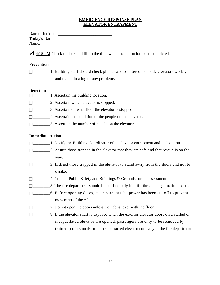### **EMERGENCY RESPONSE PLAN ELEVATOR ENTRAPMENT**

| Date of Incident: |  |
|-------------------|--|
| Today's Date:     |  |
| Name:             |  |

 $\blacktriangleright$  4:15 PM Check the box and fill in the time when the action has been completed.

### **Prevention**

□ \_\_\_\_\_\_\_\_\_1. Building staff should check phones and/or intercoms inside elevators weekly and maintain a log of any problems.

#### **Detection**

- $\Box$ \_\_\_\_\_\_\_\_\_\_\_\_\_1. Ascertain the building location.
- \_\_\_\_\_\_\_\_\_\_2. Ascertain which elevator is stopped.
- \_\_\_\_\_\_\_\_\_\_3. Ascertain on what floor the elevator is stopped.
- \_\_\_\_\_\_\_\_\_\_4. Ascertain the condition of the people on the elevator.
- \_\_\_\_\_\_\_\_\_\_5. Ascertain the number of people on the elevator.

## **Immediate Action**

- \_\_\_\_\_\_\_\_\_\_1. Notify the Building Coordinator of an elevator entrapment and its location.
- \_\_\_\_\_\_\_\_\_\_2. Assure those trapped in the elevator that they are safe and that rescue is on the way.
- \_\_\_\_\_\_\_\_\_\_3. Instruct those trapped in the elevator to stand away from the doors and not to smoke.
- \_\_\_\_\_\_\_\_\_\_4. Contact Public Safety and Buildings & Grounds for an assessment.
- $\Box$ \_\_\_\_\_\_\_\_\_\_\_\_5. The fire department should be notified only if a life-threatening situation exists.
- $\Box$  6. Before opening doors, make sure that the power has been cut off to prevent movement of the cab.
- $\Box$  7. Do not open the doors unless the cab is level with the floor.
- \_\_\_\_\_\_\_\_\_\_8. If the elevator shaft is exposed when the exterior elevator doors on a stalled or incapacitated elevator are opened, passengers are only to be removed by trained professionals from the contracted elevator company or the fire department.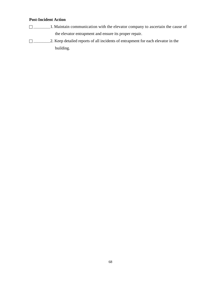# **Post-Incident Action**

- \_\_\_\_\_\_\_\_\_\_1. Maintain communication with the elevator company to ascertain the cause of the elevator entrapment and ensure its proper repair.
- \_\_\_\_\_\_\_\_\_\_2. Keep detailed reports of all incidents of entrapment for each elevator in the building.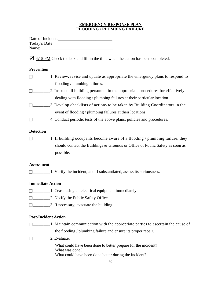### **EMERGENCY RESPONSE PLAN FLOODING** / **PLUMBING FAILURE**

| Date of Incident: |  |
|-------------------|--|
| Today's Date:     |  |
| Name:             |  |

☑ 4:15 PM Check the box and fill in the time when the action has been completed.

# **Prevention**

| 1. Review, revise and update as appropriate the emergency plans to respond to    |
|----------------------------------------------------------------------------------|
| flooding / plumbing failures.                                                    |
| 2. Instruct all building personnel in the appropriate procedures for effectively |
| dealing with flooding / plumbing failures at their particular location.          |
| 3. Develop checklists of actions to be taken by Building Coordinators in the     |
| event of flooding / plumbing failures at their locations.                        |
| 4. Conduct periodic tests of the above plans, policies and procedures.           |

## **Detection**

 $\Box$ \_\_\_\_\_\_\_\_1. If building occupants become aware of a flooding / plumbing failure, they should contact the Buildings & Grounds or Office of Public Safety as soon as possible.

#### **Assessment**

□ \_\_\_\_\_\_\_\_\_1. Verify the incident, and if substantiated, assess its seriousness.

## **Immediate Action**

- \_\_\_\_\_\_\_\_\_\_1. Cease using all electrical equipment immediately.
- □ \_\_\_\_\_\_\_\_\_\_\_\_2. Notify the Public Safety Office.
- \_\_\_\_\_\_\_\_\_\_3. If necessary, evacuate the building.

## **Post-Incident Action**

 $\Box$ \_\_\_\_\_\_\_\_\_\_1. Maintain communication with the appropriate parties to ascertain the cause of the flooding / plumbing failure and ensure its proper repair.

 $\Box$  2. Evaluate:

What could have been done to better prepare for the incident? What was done? What could have been done better during the incident?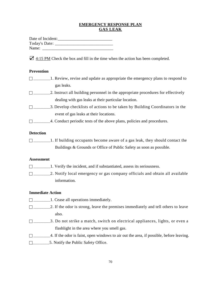# **EMERGENCY RESPONSE PLAN GAS LEAK**

| Date of Incident: |  |
|-------------------|--|
| Today's Date:     |  |
| Name:             |  |

 $\mathbf{\nabla}$  4:15 PM Check the box and fill in the time when the action has been completed.

### **Prevention**

| 1. Review, revise and update as appropriate the emergency plans to respond to |
|-------------------------------------------------------------------------------|
| gas leaks.                                                                    |

- $\Box$ \_\_\_\_\_\_\_\_\_\_\_\_\_\_\_\_2. Instruct all building personnel in the appropriate procedures for effectively dealing with gas leaks at their particular location.
- \_\_\_\_\_\_\_\_\_\_3. Develop checklists of actions to be taken by Building Coordinators in the event of gas leaks at their locations.
- □ \_\_\_\_\_\_\_\_\_4. Conduct periodic tests of the above plans, policies and procedures.

## **Detection**

□ \_\_\_\_\_\_\_\_1. If building occupants become aware of a gas leak, they should contact the Buildings & Grounds or Office of Public Safety as soon as possible.

### **Assessment**

- $\Box$  \_\_\_\_\_\_\_\_\_\_\_\_\_\_1. Verify the incident, and if substantiated, assess its seriousness.
- \_\_\_\_\_\_\_\_\_\_2. Notify local emergency or gas company officials and obtain all available information.

## **Immediate Action**

- $\Box$ \_\_\_\_\_\_\_\_\_\_\_1. Cease all operations immediately.
- $\Box$ \_\_\_\_\_\_\_\_\_\_\_\_\_\_\_2. If the odor is strong, leave the premises immediately and tell others to leave also.
- $\Box$  3. Do not strike a match, switch on electrical appliances, lights, or even a flashlight in the area where you smell gas.
- $\Box$  4. If the odor is faint, open windows to air out the area, if possible, before leaving.
- \_\_\_\_\_\_\_\_\_\_5. Notify the Public Safety Office.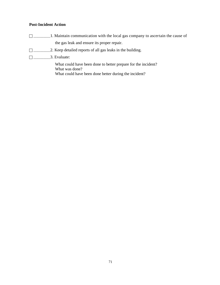# **Post-Incident Action**

- \_\_\_\_\_\_\_\_\_\_1. Maintain communication with the local gas company to ascertain the cause of the gas leak and ensure its proper repair.
- \_\_\_\_\_\_\_\_\_\_2. Keep detailed reports of all gas leaks in the building.
- \_\_\_\_\_\_\_\_\_\_3. Evaluate:

What could have been done to better prepare for the incident? What was done? What could have been done better during the incident?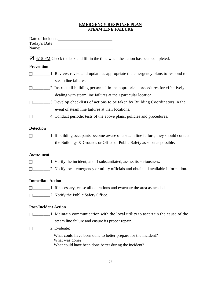# **EMERGENCY RESPONSE PLAN STEAM LINE FAILURE**

| Date of Incident:                                                                                                       |
|-------------------------------------------------------------------------------------------------------------------------|
| $\triangle$ 4:15 PM Check the box and fill in the time when the action has been completed.                              |
| <b>Prevention</b>                                                                                                       |
| $\Box$ ___________1. Review, revise and update as appropriate the emergency plans to respond to<br>steam line failures. |
|                                                                                                                         |
| dealing with steam line failures at their particular location.                                                          |
|                                                                                                                         |
| event of steam line failures at their locations.                                                                        |
| 4. Conduct periodic tests of the above plans, policies and procedures.                                                  |
| <b>Detection</b>                                                                                                        |
| $\Box$ ______________1. If building occupants become aware of a steam line failure, they should contact                 |
| the Buildings & Grounds or Office of Public Safety as soon as possible.                                                 |
| <b>Assessment</b>                                                                                                       |
| $\Box$ _______________1. Verify the incident, and if substantiated, assess its seriousness.                             |
|                                                                                                                         |
| <b>Immediate Action</b>                                                                                                 |
| $\Box$ _____________1. If necessary, cease all operations and evacuate the area as needed.                              |
| □ ____________2. Notify the Public Safety Office.                                                                       |
|                                                                                                                         |

# **Post-Incident Action**

- \_\_\_\_\_\_\_\_\_\_1. Maintain communication with the local utility to ascertain the cause of the steam line failure and ensure its proper repair.
- \_\_\_\_\_\_\_\_\_\_2. Evaluate:

What could have been done to better prepare for the incident? What was done? What could have been done better during the incident?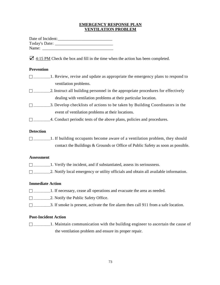### **EMERGENCY RESPONSE PLAN VENTILATION PROBLEM**

| Date of Incident: |  |
|-------------------|--|
| Today's Date:     |  |
| Name:             |  |

☑ 4:15 PM Check the box and fill in the time when the action has been completed.

## **Prevention**

| 1. Review, revise and update as appropriate the emergency plans to respond to    |
|----------------------------------------------------------------------------------|
| ventilation problems.                                                            |
| 2. Instruct all building personnel in the appropriate procedures for effectively |
| dealing with ventilation problems at their particular location.                  |
| 3. Develop checklists of actions to be taken by Building Coordinators in the     |
| event of ventilation problems at their locations.                                |

□ \_\_\_\_\_\_\_\_\_4. Conduct periodic tests of the above plans, policies and procedures.

### **Detection**

 $\Box$ \_\_\_\_\_\_\_\_\_1. If building occupants become aware of a ventilation problem, they should contact the Buildings & Grounds or Office of Public Safety as soon as possible.

#### **Assessment**

- \_\_\_\_\_\_\_\_\_\_1. Verify the incident, and if substantiated, assess its seriousness.
- □ \_\_\_\_\_\_\_\_\_\_\_2. Notify local emergency or utility officials and obtain all available information.

### **Immediate Action**

- \_\_\_\_\_\_\_\_\_\_1. If necessary, cease all operations and evacuate the area as needed.
- □ \_\_\_\_\_\_\_\_\_\_\_\_2. Notify the Public Safety Office.
- $\Box$  \_\_\_\_\_\_\_\_\_\_\_\_\_\_3. If smoke is present, activate the fire alarm then call 911 from a safe location.

### **Post-Incident Action**

 $\Box$  1. Maintain communication with the building engineer to ascertain the cause of the ventilation problem and ensure its proper repair.